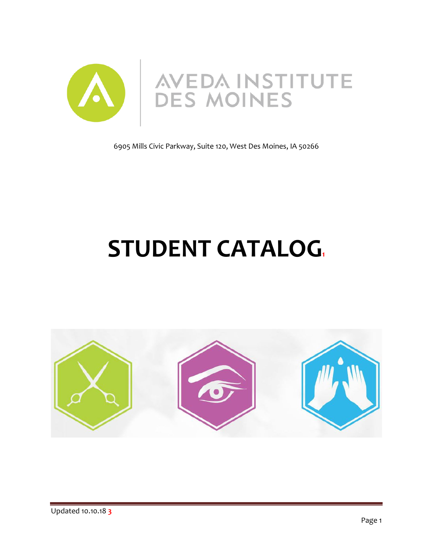

6905 Mills Civic Parkway, Suite 120, West Des Moines, IA 50266

# **STUDENT CATALOG1**

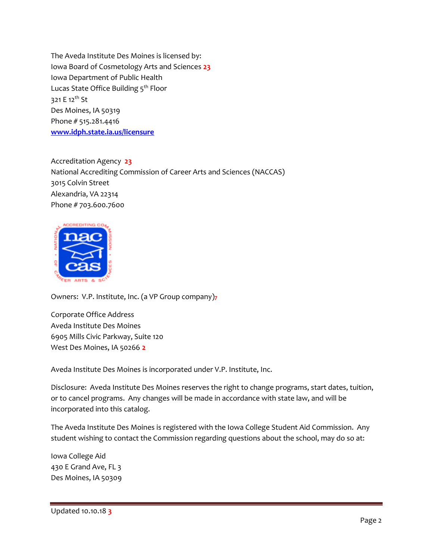The Aveda Institute Des Moines is licensed by: Iowa Board of Cosmetology Arts and Sciences **23** Iowa Department of Public Health Lucas State Office Building 5<sup>th</sup> Floor 321 E 12<sup>th</sup> St Des Moines, IA 50319 Phone # 515.281.4416 **[www.idph.state.ia.us/licensure](http://www.idph.state.ia.us/licensure)**

Accreditation Agency **23** National Accrediting Commission of Career Arts and Sciences (NACCAS) 3015 Colvin Street Alexandria, VA 22314 Phone # 703.600.7600



Owners: V.P. Institute, Inc. (a VP Group company)**7**

Corporate Office Address Aveda Institute Des Moines 6905 Mills Civic Parkway, Suite 120 West Des Moines, IA 50266 **2**

Aveda Institute Des Moines is incorporated under V.P. Institute, Inc.

Disclosure: Aveda Institute Des Moines reserves the right to change programs, start dates, tuition, or to cancel programs. Any changes will be made in accordance with state law, and will be incorporated into this catalog.

The Aveda Institute Des Moines is registered with the Iowa College Student Aid Commission. Any student wishing to contact the Commission regarding questions about the school, may do so at:

Iowa College Aid 430 E Grand Ave, FL 3 Des Moines, IA 50309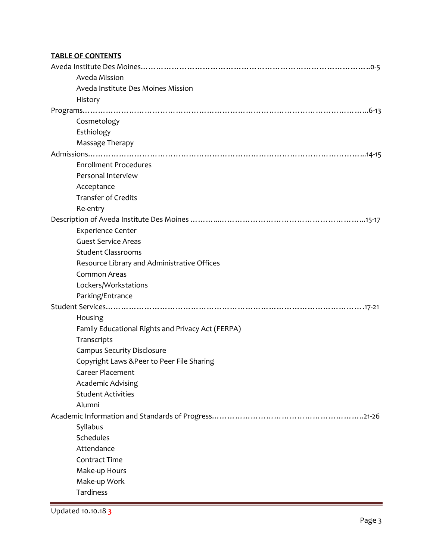# **TABLE OF CONTENTS**

| Aveda Mission                                     |
|---------------------------------------------------|
| Aveda Institute Des Moines Mission                |
| History                                           |
|                                                   |
| Cosmetology                                       |
| Esthiology                                        |
| Massage Therapy                                   |
|                                                   |
| <b>Enrollment Procedures</b>                      |
| Personal Interview                                |
| Acceptance                                        |
| <b>Transfer of Credits</b>                        |
| Re-entry                                          |
|                                                   |
| <b>Experience Center</b>                          |
| <b>Guest Service Areas</b>                        |
| <b>Student Classrooms</b>                         |
| Resource Library and Administrative Offices       |
| Common Areas                                      |
| Lockers/Workstations                              |
| Parking/Entrance                                  |
|                                                   |
| Housing                                           |
| Family Educational Rights and Privacy Act (FERPA) |
| Transcripts                                       |
| <b>Campus Security Disclosure</b>                 |
| Copyright Laws & Peer to Peer File Sharing        |
| <b>Career Placement</b>                           |
| <b>Academic Advising</b>                          |
| <b>Student Activities</b>                         |
| Alumni                                            |
|                                                   |
| Syllabus                                          |
| Schedules                                         |
| Attendance                                        |
| <b>Contract Time</b>                              |
| Make-up Hours                                     |
| Make-up Work                                      |
| Tardiness                                         |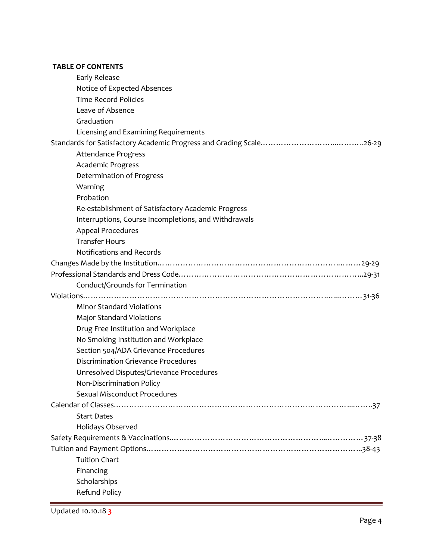# **TABLE OF CONTENTS**

| Early Release                                        |
|------------------------------------------------------|
| Notice of Expected Absences                          |
| <b>Time Record Policies</b>                          |
| Leave of Absence                                     |
| Graduation                                           |
| Licensing and Examining Requirements                 |
|                                                      |
| <b>Attendance Progress</b>                           |
| Academic Progress                                    |
| Determination of Progress                            |
| Warning                                              |
| Probation                                            |
| Re-establishment of Satisfactory Academic Progress   |
| Interruptions, Course Incompletions, and Withdrawals |
| Appeal Procedures                                    |
| <b>Transfer Hours</b>                                |
| Notifications and Records                            |
|                                                      |
|                                                      |
| Conduct/Grounds for Termination                      |
|                                                      |
| <b>Minor Standard Violations</b>                     |
| <b>Major Standard Violations</b>                     |
| Drug Free Institution and Workplace                  |
| No Smoking Institution and Workplace                 |
| Section 504/ADA Grievance Procedures                 |
| <b>Discrimination Grievance Procedures</b>           |
| Unresolved Disputes/Grievance Procedures             |
| Non-Discrimination Policy                            |
| <b>Sexual Misconduct Procedures</b>                  |
|                                                      |
| <b>Start Dates</b>                                   |
| Holidays Observed                                    |
|                                                      |
|                                                      |
| <b>Tuition Chart</b>                                 |
| Financing                                            |
| Scholarships                                         |
| <b>Refund Policy</b>                                 |
|                                                      |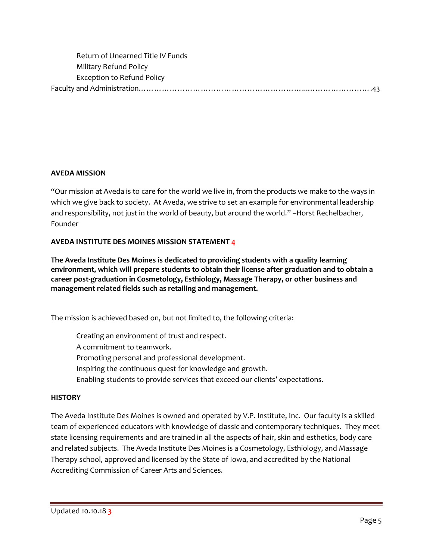| Return of Unearned Title IV Funds |  |
|-----------------------------------|--|
| Military Refund Policy            |  |
| <b>Exception to Refund Policy</b> |  |
|                                   |  |

#### **AVEDA MISSION**

"Our mission at Aveda is to care for the world we live in, from the products we make to the ways in which we give back to society. At Aveda, we strive to set an example for environmental leadership and responsibility, not just in the world of beauty, but around the world." –Horst Rechelbacher, Founder

#### **AVEDA INSTITUTE DES MOINES MISSION STATEMENT 4**

**The Aveda Institute Des Moines is dedicated to providing students with a quality learning environment, which will prepare students to obtain their license after graduation and to obtain a career post-graduation in Cosmetology, Esthiology, Massage Therapy, or other business and management related fields such as retailing and management.**

The mission is achieved based on, but not limited to, the following criteria:

Creating an environment of trust and respect. A commitment to teamwork. Promoting personal and professional development. Inspiring the continuous quest for knowledge and growth. Enabling students to provide services that exceed our clients' expectations.

#### **HISTORY**

The Aveda Institute Des Moines is owned and operated by V.P. Institute, Inc. Our faculty is a skilled team of experienced educators with knowledge of classic and contemporary techniques. They meet state licensing requirements and are trained in all the aspects of hair, skin and esthetics, body care and related subjects. The Aveda Institute Des Moines is a Cosmetology, Esthiology, and Massage Therapy school, approved and licensed by the State of Iowa, and accredited by the National Accrediting Commission of Career Arts and Sciences.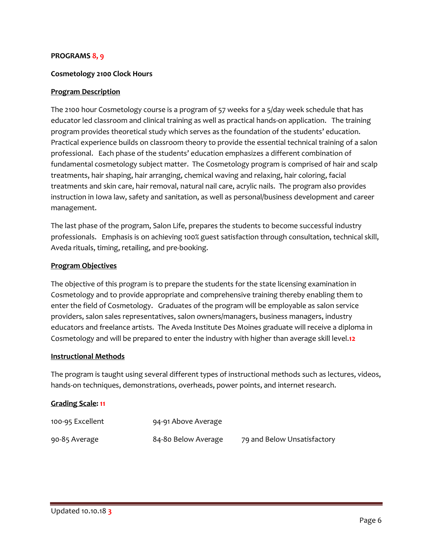#### **PROGRAMS 8, 9**

#### **Cosmetology 2100 Clock Hours**

#### **Program Description**

The 2100 hour Cosmetology course is a program of 57 weeks for a 5/day week schedule that has educator led classroom and clinical training as well as practical hands-on application. The training program provides theoretical study which serves as the foundation of the students' education. Practical experience builds on classroom theory to provide the essential technical training of a salon professional. Each phase of the students' education emphasizes a different combination of fundamental cosmetology subject matter. The Cosmetology program is comprised of hair and scalp treatments, hair shaping, hair arranging, chemical waving and relaxing, hair coloring, facial treatments and skin care, hair removal, natural nail care, acrylic nails. The program also provides instruction in Iowa law, safety and sanitation, as well as personal/business development and career management.

The last phase of the program, Salon Life, prepares the students to become successful industry professionals. Emphasis is on achieving 100% guest satisfaction through consultation, technical skill, Aveda rituals, timing, retailing, and pre-booking.

#### **Program Objectives**

The objective of this program is to prepare the students for the state licensing examination in Cosmetology and to provide appropriate and comprehensive training thereby enabling them to enter the field of Cosmetology. Graduates of the program will be employable as salon service providers, salon sales representatives, salon owners/managers, business managers, industry educators and freelance artists. The Aveda Institute Des Moines graduate will receive a diploma in Cosmetology and will be prepared to enter the industry with higher than average skill level.**12**

#### **Instructional Methods**

The program is taught using several different types of instructional methods such as lectures, videos, hands-on techniques, demonstrations, overheads, power points, and internet research.

#### **Grading Scale: 11**

| 100-95 Excellent | 94-91 Above Average |                             |
|------------------|---------------------|-----------------------------|
| 90-85 Average    | 84-80 Below Average | 79 and Below Unsatisfactory |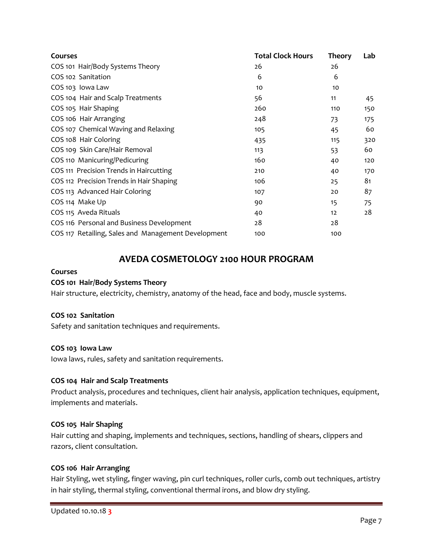| <b>Courses</b>                                      | <b>Total Clock Hours</b> | <b>Theory</b> | Lab |
|-----------------------------------------------------|--------------------------|---------------|-----|
| COS 101 Hair/Body Systems Theory                    | 26                       | 26            |     |
| COS 102 Sanitation                                  | 6                        | 6             |     |
| COS 103 Iowa Law                                    | 10                       | 10            |     |
| COS 104 Hair and Scalp Treatments                   | 56                       | 11            | 45  |
| COS 105 Hair Shaping                                | 260                      | 110           | 150 |
| COS 106 Hair Arranging                              | 248                      | 73            | 175 |
| COS 107 Chemical Waving and Relaxing                | 105                      | 45            | 60  |
| COS 108 Hair Coloring                               | 435                      | 115           | 320 |
| COS 109 Skin Care/Hair Removal                      | 113                      | 53            | 60  |
| COS 110 Manicuring/Pedicuring                       | 160                      | 40            | 120 |
| COS 111 Precision Trends in Haircutting             | 210                      | 40            | 170 |
| COS 112 Precision Trends in Hair Shaping            | 106                      | 25            | 81  |
| COS 113 Advanced Hair Coloring                      | 107                      | 20            | 87  |
| COS 114 Make Up                                     | 90                       | 15            | 75  |
| COS 115 Aveda Rituals                               | 40                       | 12            | 28  |
| COS 116 Personal and Business Development           | 28                       | 28            |     |
| COS 117 Retailing, Sales and Management Development | 100                      | 100           |     |

# **AVEDA COSMETOLOGY 2100 HOUR PROGRAM**

#### **Courses**

#### **COS 101 Hair/Body Systems Theory**

Hair structure, electricity, chemistry, anatomy of the head, face and body, muscle systems.

#### **COS 102 Sanitation**

Safety and sanitation techniques and requirements.

#### **COS 103 Iowa Law**

Iowa laws, rules, safety and sanitation requirements.

#### **COS 104 Hair and Scalp Treatments**

Product analysis, procedures and techniques, client hair analysis, application techniques, equipment, implements and materials.

# **COS 105 Hair Shaping**

Hair cutting and shaping, implements and techniques, sections, handling of shears, clippers and razors, client consultation.

#### **COS 106 Hair Arranging**

Hair Styling, wet styling, finger waving, pin curl techniques, roller curls, comb out techniques, artistry in hair styling, thermal styling, conventional thermal irons, and blow dry styling.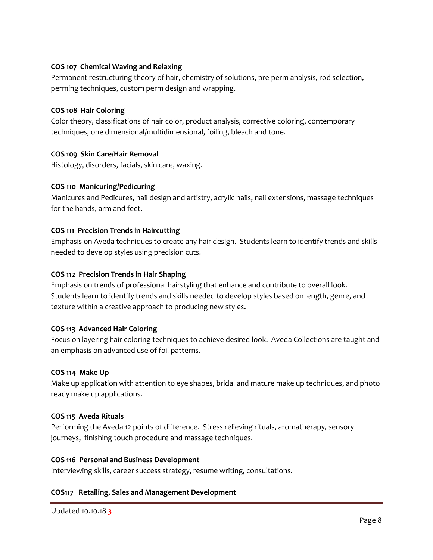# **COS 107 Chemical Waving and Relaxing**

Permanent restructuring theory of hair, chemistry of solutions, pre-perm analysis, rod selection, perming techniques, custom perm design and wrapping.

# **COS 108 Hair Coloring**

Color theory, classifications of hair color, product analysis, corrective coloring, contemporary techniques, one dimensional/multidimensional, foiling, bleach and tone.

# **COS 109 Skin Care/Hair Removal**

Histology, disorders, facials, skin care, waxing.

# **COS 110 Manicuring/Pedicuring**

Manicures and Pedicures, nail design and artistry, acrylic nails, nail extensions, massage techniques for the hands, arm and feet.

# **COS 111 Precision Trends in Haircutting**

Emphasis on Aveda techniques to create any hair design. Students learn to identify trends and skills needed to develop styles using precision cuts.

# **COS 112 Precision Trends in Hair Shaping**

Emphasis on trends of professional hairstyling that enhance and contribute to overall look. Students learn to identify trends and skills needed to develop styles based on length, genre, and texture within a creative approach to producing new styles.

# **COS 113 Advanced Hair Coloring**

Focus on layering hair coloring techniques to achieve desired look. Aveda Collections are taught and an emphasis on advanced use of foil patterns.

# **COS 114 Make Up**

Make up application with attention to eye shapes, bridal and mature make up techniques, and photo ready make up applications.

# **COS 115 Aveda Rituals**

Performing the Aveda 12 points of difference. Stress relieving rituals, aromatherapy, sensory journeys, finishing touch procedure and massage techniques.

# **COS 116 Personal and Business Development**

Interviewing skills, career success strategy, resume writing, consultations.

# **COS117 Retailing, Sales and Management Development**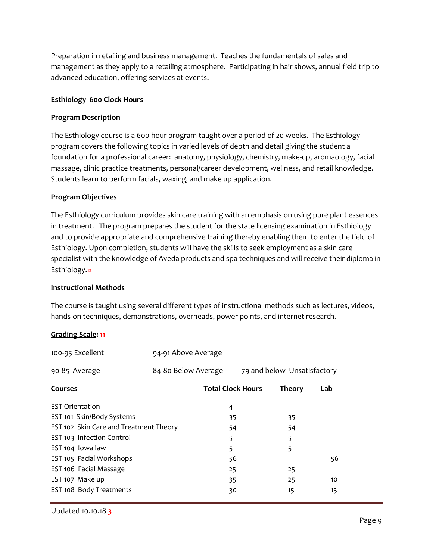Preparation in retailing and business management. Teaches the fundamentals of sales and management as they apply to a retailing atmosphere. Participating in hair shows, annual field trip to advanced education, offering services at events.

#### **Esthiology 600 Clock Hours**

#### **Program Description**

The Esthiology course is a 600 hour program taught over a period of 20 weeks. The Esthiology program covers the following topics in varied levels of depth and detail giving the student a foundation for a professional career: anatomy, physiology, chemistry, make-up, aromaology, facial massage, clinic practice treatments, personal/career development, wellness, and retail knowledge. Students learn to perform facials, waxing, and make up application.

#### **Program Objectives**

The Esthiology curriculum provides skin care training with an emphasis on using pure plant essences in treatment. The program prepares the student for the state licensing examination in Esthiology and to provide appropriate and comprehensive training thereby enabling them to enter the field of Esthiology. Upon completion, students will have the skills to seek employment as a skin care specialist with the knowledge of Aveda products and spa techniques and will receive their diploma in Esthiology.**12**

#### **Instructional Methods**

The course is taught using several different types of instructional methods such as lectures, videos, hands-on techniques, demonstrations, overheads, power points, and internet research.

# **Grading Scale: 11**

|                                        |                                                        | <b>Theory</b>            | Lab                         |
|----------------------------------------|--------------------------------------------------------|--------------------------|-----------------------------|
| 4                                      |                                                        |                          |                             |
| 35                                     |                                                        | 35                       |                             |
|                                        |                                                        | 54                       |                             |
| 5                                      |                                                        | 5                        |                             |
| 5                                      |                                                        | 5                        |                             |
|                                        |                                                        |                          | 56                          |
| 25                                     |                                                        | 25                       |                             |
| 35                                     |                                                        | 25                       | 10                          |
| 30                                     |                                                        | 15                       | 15                          |
| EST 102 Skin Care and Treatment Theory | 94-91 Above Average<br>84-80 Below Average<br>54<br>56 | <b>Total Clock Hours</b> | 79 and below Unsatisfactory |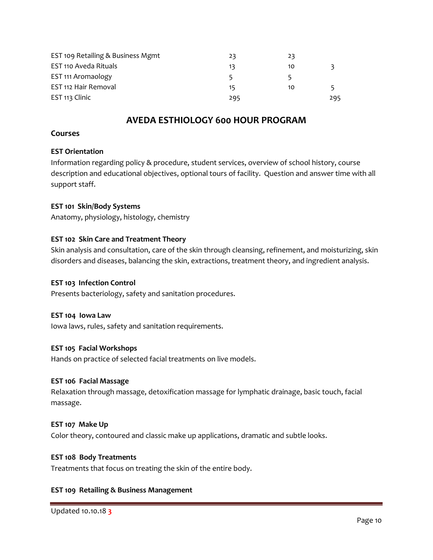| EST 109 Retailing & Business Mgmt | 23  | 23 |     |
|-----------------------------------|-----|----|-----|
| EST 110 Aveda Rituals             | 13  | 10 |     |
| EST 111 Aromaology                | 5.  |    |     |
| EST 112 Hair Removal              | 15  | 10 |     |
| EST 113 Clinic                    | 295 |    | 295 |

# **AVEDA ESTHIOLOGY 600 HOUR PROGRAM**

#### **Courses**

#### **EST Orientation**

Information regarding policy & procedure, student services, overview of school history, course description and educational objectives, optional tours of facility. Question and answer time with all support staff.

#### **EST 101 Skin/Body Systems**

Anatomy, physiology, histology, chemistry

#### **EST 102 Skin Care and Treatment Theory**

Skin analysis and consultation, care of the skin through cleansing, refinement, and moisturizing, skin disorders and diseases, balancing the skin, extractions, treatment theory, and ingredient analysis.

#### **EST 103 Infection Control**

Presents bacteriology, safety and sanitation procedures.

#### **EST 104 Iowa Law**

Iowa laws, rules, safety and sanitation requirements.

#### **EST 105 Facial Workshops**

Hands on practice of selected facial treatments on live models.

#### **EST 106 Facial Massage**

Relaxation through massage, detoxification massage for lymphatic drainage, basic touch, facial massage.

#### **EST 107 Make Up**

Color theory, contoured and classic make up applications, dramatic and subtle looks.

#### **EST 108 Body Treatments**

Treatments that focus on treating the skin of the entire body.

# **EST 109 Retailing & Business Management**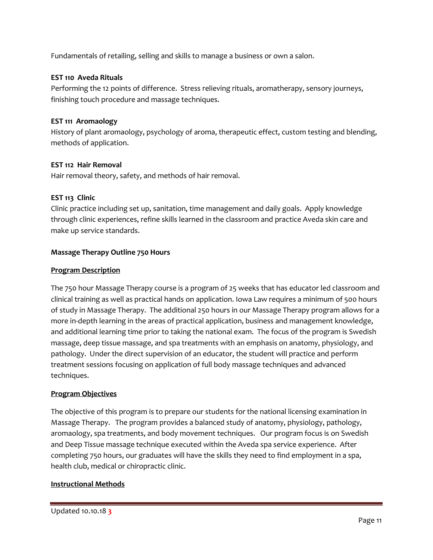Fundamentals of retailing, selling and skills to manage a business or own a salon.

#### **EST 110 Aveda Rituals**

Performing the 12 points of difference. Stress relieving rituals, aromatherapy, sensory journeys, finishing touch procedure and massage techniques.

#### **EST 111 Aromaology**

History of plant aromaology, psychology of aroma, therapeutic effect, custom testing and blending, methods of application.

#### **EST 112 Hair Removal**

Hair removal theory, safety, and methods of hair removal.

#### **EST 113 Clinic**

Clinic practice including set up, sanitation, time management and daily goals. Apply knowledge through clinic experiences, refine skills learned in the classroom and practice Aveda skin care and make up service standards.

#### **Massage Therapy Outline 750 Hours**

#### **Program Description**

The 750 hour Massage Therapy course is a program of 25 weeks that has educator led classroom and clinical training as well as practical hands on application. Iowa Law requires a minimum of 500 hours of study in Massage Therapy. The additional 250 hours in our Massage Therapy program allows for a more in-depth learning in the areas of practical application, business and management knowledge, and additional learning time prior to taking the national exam. The focus of the program is Swedish massage, deep tissue massage, and spa treatments with an emphasis on anatomy, physiology, and pathology. Under the direct supervision of an educator, the student will practice and perform treatment sessions focusing on application of full body massage techniques and advanced techniques.

#### **Program Objectives**

The objective of this program is to prepare our students for the national licensing examination in Massage Therapy. The program provides a balanced study of anatomy, physiology, pathology, aromaology, spa treatments, and body movement techniques. Our program focus is on Swedish and Deep Tissue massage technique executed within the Aveda spa service experience. After completing 750 hours, our graduates will have the skills they need to find employment in a spa, health club, medical or chiropractic clinic.

#### **Instructional Methods**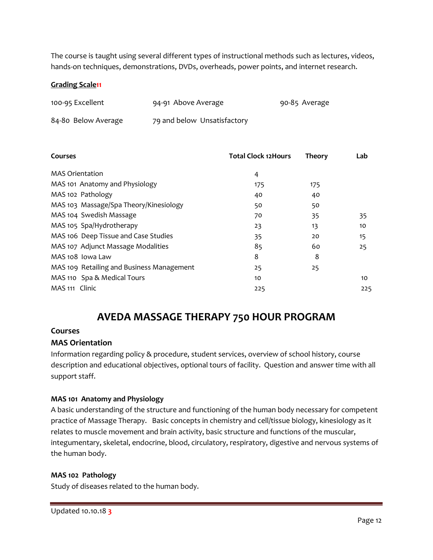The course is taught using several different types of instructional methods such as lectures, videos, hands-on techniques, demonstrations, DVDs, overheads, power points, and internet research.

#### **Grading Scale11**

| 100-95 Excellent    | 94-91 Above Average         | 90-85 Average |
|---------------------|-----------------------------|---------------|
| 84-80 Below Average | 79 and below Unsatisfactory |               |

| Courses                                   | <b>Total Clock 12Hours</b> | <b>Theory</b> | Lab |
|-------------------------------------------|----------------------------|---------------|-----|
| <b>MAS Orientation</b>                    | 4                          |               |     |
| MAS 101 Anatomy and Physiology            | 175                        | 175           |     |
| MAS 102 Pathology                         | 40                         | 40            |     |
| MAS 103 Massage/Spa Theory/Kinesiology    | 50                         | 50            |     |
| MAS 104 Swedish Massage                   | 70                         | 35            | 35  |
| MAS 105 Spa/Hydrotherapy                  | 23                         | 13            | 10  |
| MAS 106 Deep Tissue and Case Studies      | 35                         | 20            | 15  |
| MAS 107 Adjunct Massage Modalities        | 85                         | 60            | 25  |
| MAS 108 Iowa Law                          | 8                          | 8             |     |
| MAS 109 Retailing and Business Management | 25                         | 25            |     |
| MAS 110 Spa & Medical Tours               | 10                         |               | 10  |
| MAS 111 Clinic                            | 225                        |               | 225 |

# **AVEDA MASSAGE THERAPY 750 HOUR PROGRAM**

#### **Courses**

# **MAS Orientation**

Information regarding policy & procedure, student services, overview of school history, course description and educational objectives, optional tours of facility. Question and answer time with all support staff.

# **MAS 101 Anatomy and Physiology**

A basic understanding of the structure and functioning of the human body necessary for competent practice of Massage Therapy. Basic concepts in chemistry and cell/tissue biology, kinesiology as it relates to muscle movement and brain activity, basic structure and functions of the muscular, integumentary, skeletal, endocrine, blood, circulatory, respiratory, digestive and nervous systems of the human body.

#### **MAS 102 Pathology**

Study of diseases related to the human body.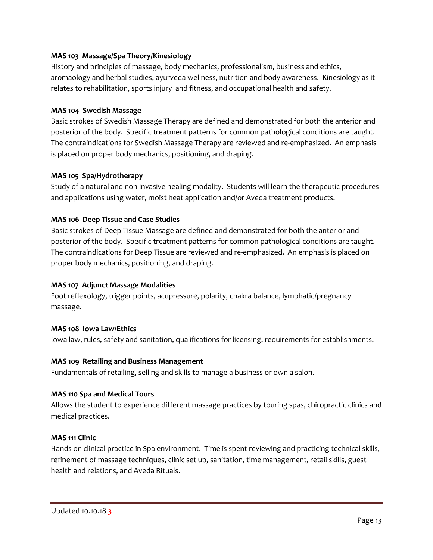# **MAS 103 Massage/Spa Theory/Kinesiology**

History and principles of massage, body mechanics, professionalism, business and ethics, aromaology and herbal studies, ayurveda wellness, nutrition and body awareness. Kinesiology as it relates to rehabilitation, sports injury and fitness, and occupational health and safety.

#### **MAS 104 Swedish Massage**

Basic strokes of Swedish Massage Therapy are defined and demonstrated for both the anterior and posterior of the body. Specific treatment patterns for common pathological conditions are taught. The contraindications for Swedish Massage Therapy are reviewed and re-emphasized. An emphasis is placed on proper body mechanics, positioning, and draping.

#### **MAS 105 Spa/Hydrotherapy**

Study of a natural and non-invasive healing modality. Students will learn the therapeutic procedures and applications using water, moist heat application and/or Aveda treatment products.

# **MAS 106 Deep Tissue and Case Studies**

Basic strokes of Deep Tissue Massage are defined and demonstrated for both the anterior and posterior of the body. Specific treatment patterns for common pathological conditions are taught. The contraindications for Deep Tissue are reviewed and re-emphasized. An emphasis is placed on proper body mechanics, positioning, and draping.

#### **MAS 107 Adjunct Massage Modalities**

Foot reflexology, trigger points, acupressure, polarity, chakra balance, lymphatic/pregnancy massage.

#### **MAS 108 Iowa Law/Ethics**

Iowa law, rules, safety and sanitation, qualifications for licensing, requirements for establishments.

#### **MAS 109 Retailing and Business Management**

Fundamentals of retailing, selling and skills to manage a business or own a salon.

#### **MAS 110 Spa and Medical Tours**

Allows the student to experience different massage practices by touring spas, chiropractic clinics and medical practices.

#### **MAS 111 Clinic**

Hands on clinical practice in Spa environment. Time is spent reviewing and practicing technical skills, refinement of massage techniques, clinic set up, sanitation, time management, retail skills, guest health and relations, and Aveda Rituals.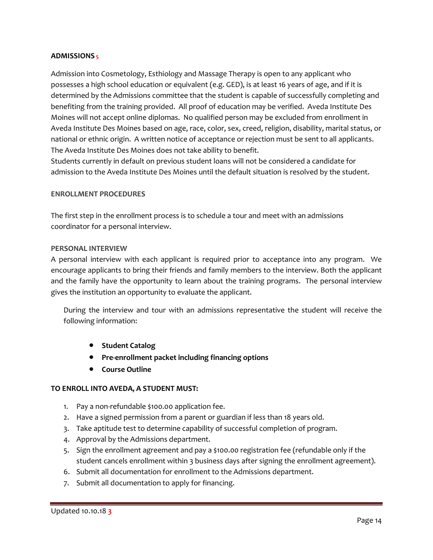#### **ADMISSIONS 5**

Admission into Cosmetology, Esthiology and Massage Therapy is open to any applicant who possesses a high school education or equivalent (e.g. GED), is at least 16 years of age, and if it is determined by the Admissions committee that the student is capable of successfully completing and benefiting from the training provided. All proof of education may be verified. Aveda Institute Des Moines will not accept online diplomas. No qualified person may be excluded from enrollment in Aveda Institute Des Moines based on age, race, color, sex, creed, religion, disability, marital status, or national or ethnic origin. A written notice of acceptance or rejection must be sent to all applicants. The Aveda Institute Des Moines does not take ability to benefit.

Students currently in default on previous student loans will not be considered a candidate for admission to the Aveda Institute Des Moines until the default situation is resolved by the student.

#### **ENROLLMENT PROCEDURES**

The first step in the enrollment process is to schedule a tour and meet with an admissions coordinator for a personal interview.

#### **PERSONAL INTERVIEW**

A personal interview with each applicant is required prior to acceptance into any program. We encourage applicants to bring their friends and family members to the interview. Both the applicant and the family have the opportunity to learn about the training programs. The personal interview gives the institution an opportunity to evaluate the applicant.

During the interview and tour with an admissions representative the student will receive the following information:

- **Student Catalog**
- **Pre-enrollment packet including financing options**
- **Course Outline**

# **TO ENROLL INTO AVEDA, A STUDENT MUST:**

- 1. Pay a non-refundable \$100.00 application fee.
- 2. Have a signed permission from a parent or guardian if less than 18 years old.
- 3. Take aptitude test to determine capability of successful completion of program.
- 4. Approval by the Admissions department.
- 5. Sign the enrollment agreement and pay a \$100.00 registration fee (refundable only if the student cancels enrollment within 3 business days after signing the enrollment agreement).
- 6. Submit all documentation for enrollment to the Admissions department.
- 7. Submit all documentation to apply for financing.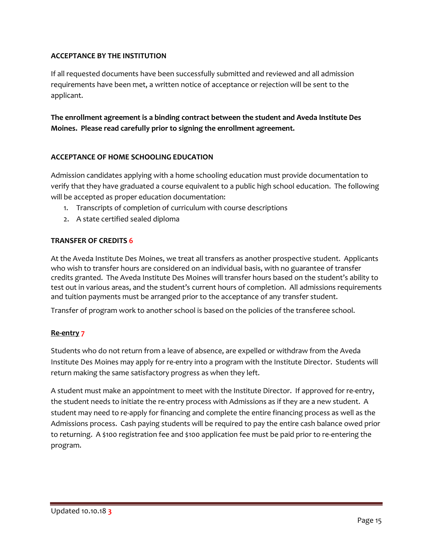# **ACCEPTANCE BY THE INSTITUTION**

If all requested documents have been successfully submitted and reviewed and all admission requirements have been met, a written notice of acceptance or rejection will be sent to the applicant.

**The enrollment agreement is a binding contract between the student and Aveda Institute Des Moines. Please read carefully prior to signing the enrollment agreement.**

# **ACCEPTANCE OF HOME SCHOOLING EDUCATION**

Admission candidates applying with a home schooling education must provide documentation to verify that they have graduated a course equivalent to a public high school education. The following will be accepted as proper education documentation:

- 1. Transcripts of completion of curriculum with course descriptions
- 2. A state certified sealed diploma

# **TRANSFER OF CREDITS 6**

At the Aveda Institute Des Moines, we treat all transfers as another prospective student. Applicants who wish to transfer hours are considered on an individual basis, with no guarantee of transfer credits granted. The Aveda Institute Des Moines will transfer hours based on the student's ability to test out in various areas, and the student's current hours of completion. All admissions requirements and tuition payments must be arranged prior to the acceptance of any transfer student.

Transfer of program work to another school is based on the policies of the transferee school.

# **Re-entry 7**

Students who do not return from a leave of absence, are expelled or withdraw from the Aveda Institute Des Moines may apply for re-entry into a program with the Institute Director. Students will return making the same satisfactory progress as when they left.

A student must make an appointment to meet with the Institute Director. If approved for re-entry, the student needs to initiate the re-entry process with Admissions as if they are a new student. A student may need to re-apply for financing and complete the entire financing process as well as the Admissions process. Cash paying students will be required to pay the entire cash balance owed prior to returning. A \$100 registration fee and \$100 application fee must be paid prior to re-entering the program.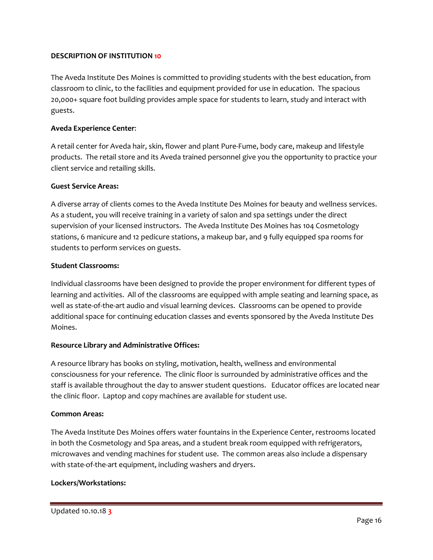#### **DESCRIPTION OF INSTITUTION 10**

The Aveda Institute Des Moines is committed to providing students with the best education, from classroom to clinic, to the facilities and equipment provided for use in education. The spacious 20,000+ square foot building provides ample space for students to learn, study and interact with guests.

#### **Aveda Experience Center**:

A retail center for Aveda hair, skin, flower and plant Pure-Fume, body care, makeup and lifestyle products. The retail store and its Aveda trained personnel give you the opportunity to practice your client service and retailing skills.

#### **Guest Service Areas:**

A diverse array of clients comes to the Aveda Institute Des Moines for beauty and wellness services. As a student, you will receive training in a variety of salon and spa settings under the direct supervision of your licensed instructors. The Aveda Institute Des Moines has 104 Cosmetology stations, 6 manicure and 12 pedicure stations, a makeup bar, and 9 fully equipped spa rooms for students to perform services on guests.

#### **Student Classrooms:**

Individual classrooms have been designed to provide the proper environment for different types of learning and activities. All of the classrooms are equipped with ample seating and learning space, as well as state-of-the-art audio and visual learning devices. Classrooms can be opened to provide additional space for continuing education classes and events sponsored by the Aveda Institute Des Moines.

# **Resource Library and Administrative Offices:**

A resource library has books on styling, motivation, health, wellness and environmental consciousness for your reference. The clinic floor is surrounded by administrative offices and the staff is available throughout the day to answer student questions. Educator offices are located near the clinic floor. Laptop and copy machines are available for student use.

#### **Common Areas:**

The Aveda Institute Des Moines offers water fountains in the Experience Center, restrooms located in both the Cosmetology and Spa areas, and a student break room equipped with refrigerators, microwaves and vending machines for student use. The common areas also include a dispensary with state-of-the-art equipment, including washers and dryers.

#### **Lockers/Workstations:**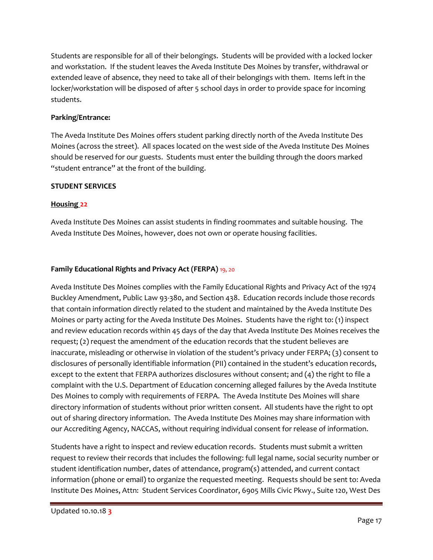Students are responsible for all of their belongings. Students will be provided with a locked locker and workstation. If the student leaves the Aveda Institute Des Moines by transfer, withdrawal or extended leave of absence, they need to take all of their belongings with them. Items left in the locker/workstation will be disposed of after 5 school days in order to provide space for incoming students.

# **Parking/Entrance:**

The Aveda Institute Des Moines offers student parking directly north of the Aveda Institute Des Moines (across the street). All spaces located on the west side of the Aveda Institute Des Moines should be reserved for our guests. Students must enter the building through the doors marked "student entrance" at the front of the building.

# **STUDENT SERVICES**

# **Housing 22**

Aveda Institute Des Moines can assist students in finding roommates and suitable housing. The Aveda Institute Des Moines, however, does not own or operate housing facilities.

# **Family Educational Rights and Privacy Act (FERPA)** 19, 20

Aveda Institute Des Moines complies with the Family Educational Rights and Privacy Act of the 1974 Buckley Amendment, Public Law 93-380, and Section 438. Education records include those records that contain information directly related to the student and maintained by the Aveda Institute Des Moines or party acting for the Aveda Institute Des Moines. Students have the right to: (1) inspect and review education records within 45 days of the day that Aveda Institute Des Moines receives the request; (2) request the amendment of the education records that the student believes are inaccurate, misleading or otherwise in violation of the student's privacy under FERPA; (3) consent to disclosures of personally identifiable information (PII) contained in the student's education records, except to the extent that FERPA authorizes disclosures without consent; and (4) the right to file a complaint with the U.S. Department of Education concerning alleged failures by the Aveda Institute Des Moines to comply with requirements of FERPA. The Aveda Institute Des Moines will share directory information of students without prior written consent. All students have the right to opt out of sharing directory information. The Aveda Institute Des Moines may share information with our Accrediting Agency, NACCAS, without requiring individual consent for release of information.

Students have a right to inspect and review education records. Students must submit a written request to review their records that includes the following: full legal name, social security number or student identification number, dates of attendance, program(s) attended, and current contact information (phone or email) to organize the requested meeting. Requests should be sent to: Aveda Institute Des Moines, Attn: Student Services Coordinator, 6905 Mills Civic Pkwy., Suite 120, West Des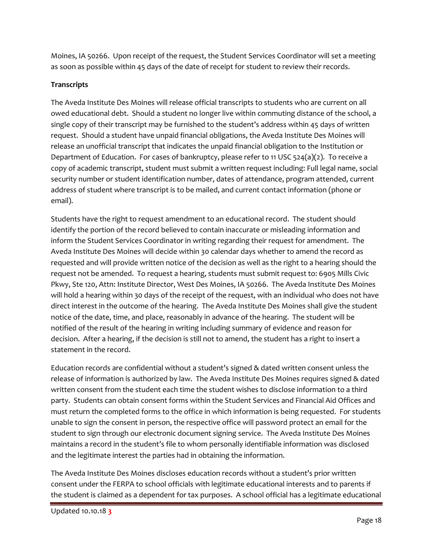Moines, IA 50266. Upon receipt of the request, the Student Services Coordinator will set a meeting as soon as possible within 45 days of the date of receipt for student to review their records.

# **Transcripts**

The Aveda Institute Des Moines will release official transcripts to students who are current on all owed educational debt. Should a student no longer live within commuting distance of the school, a single copy of their transcript may be furnished to the student's address within 45 days of written request. Should a student have unpaid financial obligations, the Aveda Institute Des Moines will release an unofficial transcript that indicates the unpaid financial obligation to the Institution or Department of Education. For cases of bankruptcy, please refer to 11 USC 524(a)(2). To receive a copy of academic transcript, student must submit a written request including: Full legal name, social security number or student identification number, dates of attendance, program attended, current address of student where transcript is to be mailed, and current contact information (phone or email).

Students have the right to request amendment to an educational record. The student should identify the portion of the record believed to contain inaccurate or misleading information and inform the Student Services Coordinator in writing regarding their request for amendment. The Aveda Institute Des Moines will decide within 30 calendar days whether to amend the record as requested and will provide written notice of the decision as well as the right to a hearing should the request not be amended. To request a hearing, students must submit request to: 6905 Mills Civic Pkwy, Ste 120, Attn: Institute Director, West Des Moines, IA 50266. The Aveda Institute Des Moines will hold a hearing within 30 days of the receipt of the request, with an individual who does not have direct interest in the outcome of the hearing. The Aveda Institute Des Moines shall give the student notice of the date, time, and place, reasonably in advance of the hearing. The student will be notified of the result of the hearing in writing including summary of evidence and reason for decision. After a hearing, if the decision is still not to amend, the student has a right to insert a statement in the record.

Education records are confidential without a student's signed & dated written consent unless the release of information is authorized by law. The Aveda Institute Des Moines requires signed & dated written consent from the student each time the student wishes to disclose information to a third party. Students can obtain consent forms within the Student Services and Financial Aid Offices and must return the completed forms to the office in which information is being requested. For students unable to sign the consent in person, the respective office will password protect an email for the student to sign through our electronic document signing service. The Aveda Institute Des Moines maintains a record in the student's file to whom personally identifiable information was disclosed and the legitimate interest the parties had in obtaining the information.

The Aveda Institute Des Moines discloses education records without a student's prior written consent under the FERPA to school officials with legitimate educational interests and to parents if the student is claimed as a dependent for tax purposes. A school official has a legitimate educational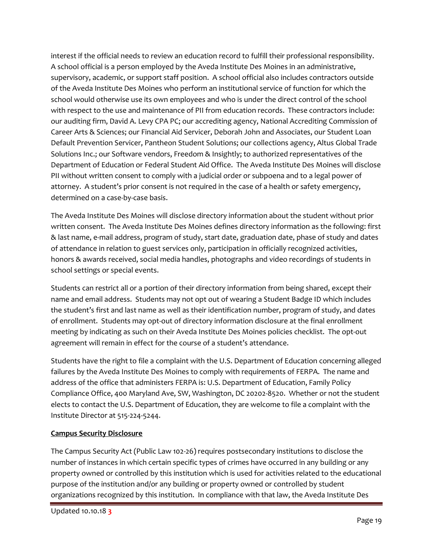interest if the official needs to review an education record to fulfill their professional responsibility. A school official is a person employed by the Aveda Institute Des Moines in an administrative, supervisory, academic, or support staff position. A school official also includes contractors outside of the Aveda Institute Des Moines who perform an institutional service of function for which the school would otherwise use its own employees and who is under the direct control of the school with respect to the use and maintenance of PII from education records. These contractors include: our auditing firm, David A. Levy CPA PC; our accrediting agency, National Accrediting Commission of Career Arts & Sciences; our Financial Aid Servicer, Deborah John and Associates, our Student Loan Default Prevention Servicer, Pantheon Student Solutions; our collections agency, Altus Global Trade Solutions Inc.; our Software vendors, Freedom & Insightly; to authorized representatives of the Department of Education or Federal Student Aid Office. The Aveda Institute Des Moines will disclose PII without written consent to comply with a judicial order or subpoena and to a legal power of attorney. A student's prior consent is not required in the case of a health or safety emergency, determined on a case-by-case basis.

The Aveda Institute Des Moines will disclose directory information about the student without prior written consent. The Aveda Institute Des Moines defines directory information as the following: first & last name, e-mail address, program of study, start date, graduation date, phase of study and dates of attendance in relation to guest services only, participation in officially recognized activities, honors & awards received, social media handles, photographs and video recordings of students in school settings or special events.

Students can restrict all or a portion of their directory information from being shared, except their name and email address. Students may not opt out of wearing a Student Badge ID which includes the student's first and last name as well as their identification number, program of study, and dates of enrollment. Students may opt-out of directory information disclosure at the final enrollment meeting by indicating as such on their Aveda Institute Des Moines policies checklist. The opt-out agreement will remain in effect for the course of a student's attendance.

Students have the right to file a complaint with the U.S. Department of Education concerning alleged failures by the Aveda Institute Des Moines to comply with requirements of FERPA. The name and address of the office that administers FERPA is: U.S. Department of Education, Family Policy Compliance Office, 400 Maryland Ave, SW, Washington, DC 20202-8520. Whether or not the student elects to contact the U.S. Department of Education, they are welcome to file a complaint with the Institute Director at 515-224-5244.

# **Campus Security Disclosure**

The Campus Security Act (Public Law 102-26) requires postsecondary institutions to disclose the number of instances in which certain specific types of crimes have occurred in any building or any property owned or controlled by this institution which is used for activities related to the educational purpose of the institution and/or any building or property owned or controlled by student organizations recognized by this institution. In compliance with that law, the Aveda Institute Des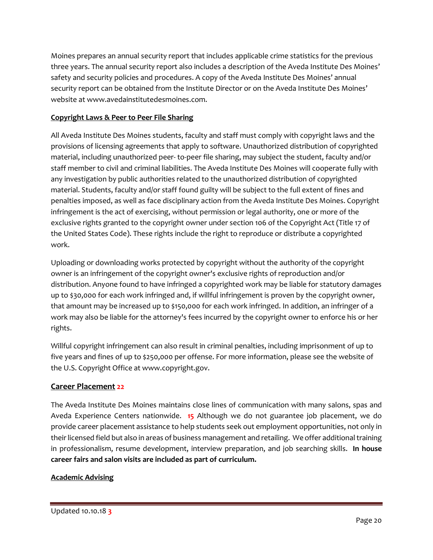Moines prepares an annual security report that includes applicable crime statistics for the previous three years. The annual security report also includes a description of the Aveda Institute Des Moines' safety and security policies and procedures. A copy of the Aveda Institute Des Moines' annual security report can be obtained from the Institute Director or on the Aveda Institute Des Moines' website at www.avedainstitutedesmoines.com.

# **Copyright Laws & Peer to Peer File Sharing**

All Aveda Institute Des Moines students, faculty and staff must comply with copyright laws and the provisions of licensing agreements that apply to software. Unauthorized distribution of copyrighted material, including unauthorized peer- to-peer file sharing, may subject the student, faculty and/or staff member to civil and criminal liabilities. The Aveda Institute Des Moines will cooperate fully with any investigation by public authorities related to the unauthorized distribution of copyrighted material. Students, faculty and/or staff found guilty will be subject to the full extent of fines and penalties imposed, as well as face disciplinary action from the Aveda Institute Des Moines. Copyright infringement is the act of exercising, without permission or legal authority, one or more of the exclusive rights granted to the copyright owner under section 106 of the Copyright Act (Title 17 of the United States Code). These rights include the right to reproduce or distribute a copyrighted work.

Uploading or downloading works protected by copyright without the authority of the copyright owner is an infringement of the copyright owner's exclusive rights of reproduction and/or distribution. Anyone found to have infringed a copyrighted work may be liable for statutory damages up to \$30,000 for each work infringed and, if willful infringement is proven by the copyright owner, that amount may be increased up to \$150,000 for each work infringed. In addition, an infringer of a work may also be liable for the attorney's fees incurred by the copyright owner to enforce his or her rights.

Willful copyright infringement can also result in criminal penalties, including imprisonment of up to five years and fines of up to \$250,000 per offense. For more information, please see the website of the U.S. Copyright Office at www.copyright.gov.

# **Career Placement 22**

The Aveda Institute Des Moines maintains close lines of communication with many salons, spas and Aveda Experience Centers nationwide. **15** Although we do not guarantee job placement, we do provide career placement assistance to help students seek out employment opportunities, not only in their licensed field but also in areas of business management and retailing. We offer additional training in professionalism, resume development, interview preparation, and job searching skills. **In house career fairs and salon visits are included as part of curriculum.**

# **Academic Advising**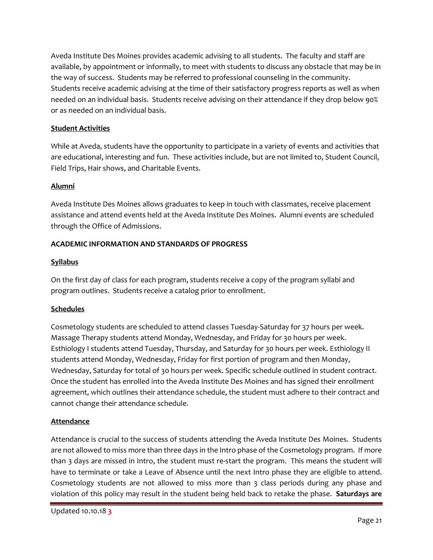Aveda Institute Des Moines provides academic advising to all students. The faculty and staff are available, by appointment or informally, to meet with students to discuss any obstacle that may be in the way of success. Students may be referred to professional counseling in the community. Students receive academic advising at the time of their satisfactory progress reports as well as when needed on an individual basis. Students receive advising on their attendance if they drop below 90% or as needed on an individual basis.

# **Student Activities**

While at Aveda, students have the opportunity to participate in a variety of events and activities that are educational, interesting and fun. These activities include, but are not limited to, Student Council, Field Trips, Hair shows, and Charitable Events.

# **Alumni**

Aveda Institute Des Moines allows graduates to keep in touch with classmates, receive placement assistance and attend events held at the Aveda Institute Des Moines. Alumni events are scheduled through the Office of Admissions.

# **ACADEMIC INFORMATION AND STANDARDS OF PROGRESS**

# **Syllabus**

On the first day of class for each program, students receive a copy of the program syllabi and program outlines. Students receive a catalog prior to enrollment.

# **Schedules**

Cosmetology students are scheduled to attend classes Tuesday-Saturday for 37 hours per week. Massage Therapy students attend Monday, Wednesday, and Friday for 30 hours per week. Esthiology I students attend Tuesday, Thursday, and Saturday for 30 hours per week. Esthiology II students attend Monday, Wednesday, Friday for first portion of program and then Monday, Wednesday, Saturday for total of 30 hours per week. Specific schedule outlined in student contract. Once the student has enrolled into the Aveda Institute Des Moines and has signed their enrollment agreement, which outlines their attendance schedule, the student must adhere to their contract and cannot change their attendance schedule.

# **Attendance**

Attendance is crucial to the success of students attending the Aveda Institute Des Moines. Students are not allowed to miss more than three days in the Intro phase of the Cosmetology program. If more than 3 days are missed in Intro, the student must re-start the program. This means the student will have to terminate or take a Leave of Absence until the next Intro phase they are eligible to attend. Cosmetology students are not allowed to miss more than 3 class periods during any phase and violation of this policy may result in the student being held back to retake the phase. **Saturdays are**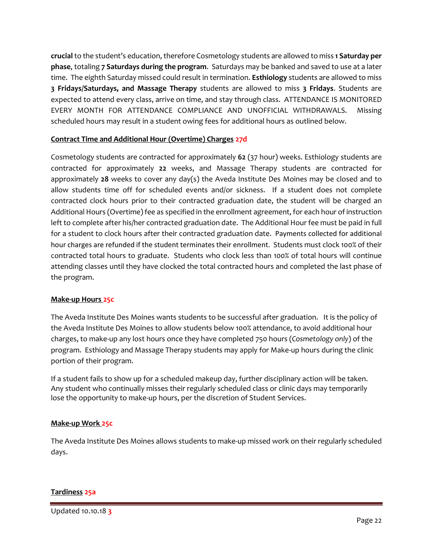**crucial** to the student's education, therefore Cosmetology students are allowed to miss **1 Saturday per phase**, totaling **7 Saturdays during the program**. Saturdays may be banked and saved to use at a later time. The eighth Saturday missed could result in termination. **Esthiology** students are allowed to miss **3 Fridays/Saturdays, and Massage Therapy** students are allowed to miss **3 Fridays**. Students are expected to attend every class, arrive on time, and stay through class. ATTENDANCE IS MONITORED EVERY MONTH FOR ATTENDANCE COMPLIANCE AND UNOFFICIAL WITHDRAWALS. Missing scheduled hours may result in a student owing fees for additional hours as outlined below.

# **Contract Time and Additional Hour (Overtime) Charges 27d**

Cosmetology students are contracted for approximately **62** (37 hour) weeks. Esthiology students are contracted for approximately **22** weeks, and Massage Therapy students are contracted for approximately **28** weeks to cover any day(s) the Aveda Institute Des Moines may be closed and to allow students time off for scheduled events and/or sickness. If a student does not complete contracted clock hours prior to their contracted graduation date, the student will be charged an Additional Hours (Overtime) fee as specified in the enrollment agreement, for each hour of instruction left to complete after his/her contracted graduation date. The Additional Hour fee must be paid in full for a student to clock hours after their contracted graduation date. Payments collected for additional hour charges are refunded if the student terminates their enrollment. Students must clock 100% of their contracted total hours to graduate. Students who clock less than 100% of total hours will continue attending classes until they have clocked the total contracted hours and completed the last phase of the program.

#### **Make-up Hours 25c**

The Aveda Institute Des Moines wants students to be successful after graduation. It is the policy of the Aveda Institute Des Moines to allow students below 100% attendance, to avoid additional hour charges, to make-up any lost hours once they have completed 750 hours (*Cosmetology only*) of the program. Esthiology and Massage Therapy students may apply for Make-up hours during the clinic portion of their program.

If a student fails to show up for a scheduled makeup day, further disciplinary action will be taken. Any student who continually misses their regularly scheduled class or clinic days may temporarily lose the opportunity to make-up hours, per the discretion of Student Services.

#### **Make-up Work 25c**

The Aveda Institute Des Moines allows students to make-up missed work on their regularly scheduled days.

#### **Tardiness 25a**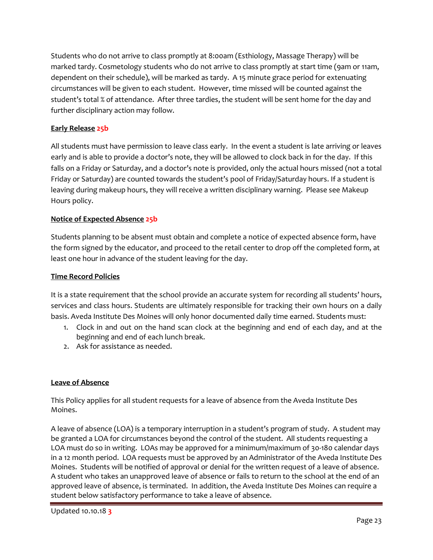Students who do not arrive to class promptly at 8:00am (Esthiology, Massage Therapy) will be marked tardy. Cosmetology students who do not arrive to class promptly at start time (9am or 11am, dependent on their schedule), will be marked as tardy. A 15 minute grace period for extenuating circumstances will be given to each student. However, time missed will be counted against the student's total % of attendance. After three tardies, the student will be sent home for the day and further disciplinary action may follow.

# **Early Release 25b**

All students must have permission to leave class early. In the event a student is late arriving or leaves early and is able to provide a doctor's note, they will be allowed to clock back in for the day. If this falls on a Friday or Saturday, and a doctor's note is provided, only the actual hours missed (not a total Friday or Saturday) are counted towards the student's pool of Friday/Saturday hours. If a student is leaving during makeup hours, they will receive a written disciplinary warning. Please see Makeup Hours policy.

# **Notice of Expected Absence 25b**

Students planning to be absent must obtain and complete a notice of expected absence form, have the form signed by the educator, and proceed to the retail center to drop off the completed form, at least one hour in advance of the student leaving for the day.

#### **Time Record Policies**

It is a state requirement that the school provide an accurate system for recording all students' hours, services and class hours. Students are ultimately responsible for tracking their own hours on a daily basis. Aveda Institute Des Moines will only honor documented daily time earned. Students must:

- 1. Clock in and out on the hand scan clock at the beginning and end of each day, and at the beginning and end of each lunch break.
- 2. Ask for assistance as needed.

#### **Leave of Absence**

This Policy applies for all student requests for a leave of absence from the Aveda Institute Des Moines.

A leave of absence (LOA) is a temporary interruption in a student's program of study. A student may be granted a LOA for circumstances beyond the control of the student. All students requesting a LOA must do so in writing. LOAs may be approved for a minimum/maximum of 30-180 calendar days in a 12 month period. LOA requests must be approved by an Administrator of the Aveda Institute Des Moines. Students will be notified of approval or denial for the written request of a leave of absence. A student who takes an unapproved leave of absence or fails to return to the school at the end of an approved leave of absence, is terminated. In addition, the Aveda Institute Des Moines can require a student below satisfactory performance to take a leave of absence.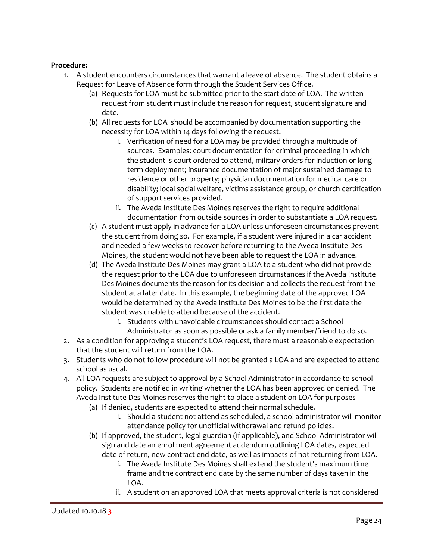#### **Procedure:**

- 1. A student encounters circumstances that warrant a leave of absence. The student obtains a Request for Leave of Absence form through the Student Services Office.
	- (a) Requests for LOA must be submitted prior to the start date of LOA. The written request from student must include the reason for request, student signature and date.
	- (b) All requests for LOA should be accompanied by documentation supporting the necessity for LOA within 14 days following the request.
		- i. Verification of need for a LOA may be provided through a multitude of sources. Examples: court documentation for criminal proceeding in which the student is court ordered to attend, military orders for induction or longterm deployment; insurance documentation of major sustained damage to residence or other property; physician documentation for medical care or disability; local social welfare, victims assistance group, or church certification of support services provided.
		- ii. The Aveda Institute Des Moines reserves the right to require additional documentation from outside sources in order to substantiate a LOA request.
	- (c) A student must apply in advance for a LOA unless unforeseen circumstances prevent the student from doing so. For example, if a student were injured in a car accident and needed a few weeks to recover before returning to the Aveda Institute Des Moines, the student would not have been able to request the LOA in advance.
	- (d) The Aveda Institute Des Moines may grant a LOA to a student who did not provide the request prior to the LOA due to unforeseen circumstances if the Aveda Institute Des Moines documents the reason for its decision and collects the request from the student at a later date. In this example, the beginning date of the approved LOA would be determined by the Aveda Institute Des Moines to be the first date the student was unable to attend because of the accident.
		- i. Students with unavoidable circumstances should contact a School Administrator as soon as possible or ask a family member/friend to do so.
- 2. As a condition for approving a student's LOA request, there must a reasonable expectation that the student will return from the LOA.
- 3. Students who do not follow procedure will not be granted a LOA and are expected to attend school as usual.
- 4. All LOA requests are subject to approval by a School Administrator in accordance to school policy. Students are notified in writing whether the LOA has been approved or denied. The Aveda Institute Des Moines reserves the right to place a student on LOA for purposes
	- (a) If denied, students are expected to attend their normal schedule.
		- i. Should a student not attend as scheduled, a school administrator will monitor attendance policy for unofficial withdrawal and refund policies.
	- (b) If approved, the student, legal guardian (if applicable), and School Administrator will sign and date an enrollment agreement addendum outlining LOA dates, expected date of return, new contract end date, as well as impacts of not returning from LOA.
		- i. The Aveda Institute Des Moines shall extend the student's maximum time frame and the contract end date by the same number of days taken in the LOA.
		- ii. A student on an approved LOA that meets approval criteria is not considered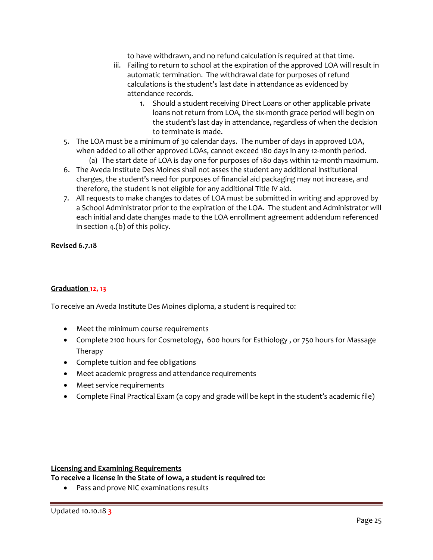to have withdrawn, and no refund calculation is required at that time.

- iii. Failing to return to school at the expiration of the approved LOA will result in automatic termination. The withdrawal date for purposes of refund calculations is the student's last date in attendance as evidenced by attendance records.
	- 1. Should a student receiving Direct Loans or other applicable private loans not return from LOA, the six-month grace period will begin on the student's last day in attendance, regardless of when the decision to terminate is made.
- 5. The LOA must be a minimum of 30 calendar days. The number of days in approved LOA, when added to all other approved LOAs, cannot exceed 180 days in any 12-month period. (a) The start date of LOA is day one for purposes of 180 days within 12-month maximum.
- 6. The Aveda Institute Des Moines shall not asses the student any additional institutional charges, the student's need for purposes of financial aid packaging may not increase, and therefore, the student is not eligible for any additional Title IV aid.
- 7. All requests to make changes to dates of LOA must be submitted in writing and approved by a School Administrator prior to the expiration of the LOA. The student and Administrator will each initial and date changes made to the LOA enrollment agreement addendum referenced in section 4.(b) of this policy.

#### **Revised 6.7.18**

# **Graduation 12, 13**

To receive an Aveda Institute Des Moines diploma, a student is required to:

- Meet the minimum course requirements
- Complete 2100 hours for Cosmetology, 600 hours for Esthiology, or 750 hours for Massage Therapy
- Complete tuition and fee obligations
- Meet academic progress and attendance requirements
- Meet service requirements
- Complete Final Practical Exam (a copy and grade will be kept in the student's academic file)

#### **Licensing and Examining Requirements**

**To receive a license in the State of Iowa, a student is required to:**

• Pass and prove NIC examinations results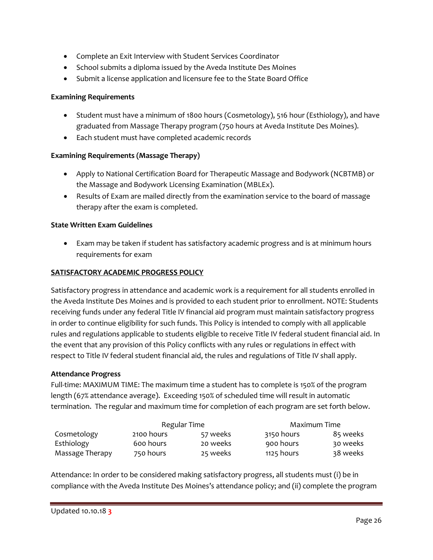- Complete an Exit Interview with Student Services Coordinator
- School submits a diploma issued by the Aveda Institute Des Moines
- Submit a license application and licensure fee to the State Board Office

#### **Examining Requirements**

- Student must have a minimum of 1800 hours (Cosmetology), 516 hour (Esthiology), and have graduated from Massage Therapy program (750 hours at Aveda Institute Des Moines).
- Each student must have completed academic records

# **Examining Requirements (Massage Therapy)**

- Apply to National Certification Board for Therapeutic Massage and Bodywork (NCBTMB) or the Massage and Bodywork Licensing Examination (MBLEx).
- Results of Exam are mailed directly from the examination service to the board of massage therapy after the exam is completed.

#### **State Written Exam Guidelines**

• Exam may be taken if student has satisfactory academic progress and is at minimum hours requirements for exam

#### **SATISFACTORY ACADEMIC PROGRESS POLICY**

Satisfactory progress in attendance and academic work is a requirement for all students enrolled in the Aveda Institute Des Moines and is provided to each student prior to enrollment. NOTE: Students receiving funds under any federal Title IV financial aid program must maintain satisfactory progress in order to continue eligibility for such funds. This Policy is intended to comply with all applicable rules and regulations applicable to students eligible to receive Title IV federal student financial aid. In the event that any provision of this Policy conflicts with any rules or regulations in effect with respect to Title IV federal student financial aid, the rules and regulations of Title IV shall apply.

#### **Attendance Progress**

Full-time: MAXIMUM TIME: The maximum time a student has to complete is 150% of the program length (67% attendance average). Exceeding 150% of scheduled time will result in automatic termination. The regular and maximum time for completion of each program are set forth below.

|                 | Regular Time |          | Maximum Time |          |
|-----------------|--------------|----------|--------------|----------|
| Cosmetology     | 2100 hours   | 57 weeks | 3150 hours   | 85 weeks |
| Esthiology      | 600 hours    | 20 weeks | 900 hours    | 30 weeks |
| Massage Therapy | 750 hours    | 25 weeks | 1125 hours   | 38 weeks |

Attendance: In order to be considered making satisfactory progress, all students must (i) be in compliance with the Aveda Institute Des Moines's attendance policy; and (ii) complete the program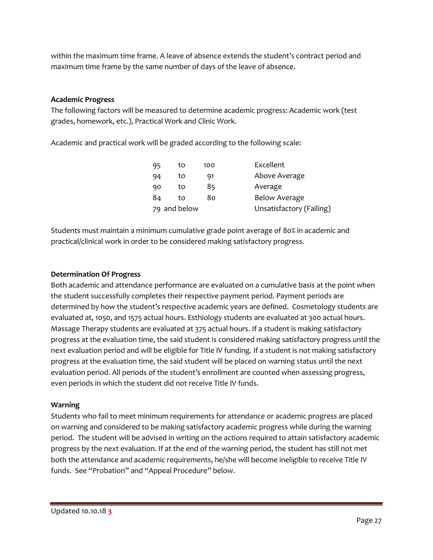within the maximum time frame. A leave of absence extends the student's contract period and maximum time frame by the same number of days of the leave of absence.

# **Academic Progress**

The following factors will be measured to determine academic progress: Academic work (test grades, homework, etc.), Practical Work and Clinic Work.

Academic and practical work will be graded according to the following scale:

| 95 | to           | 100 | Excellent                |
|----|--------------|-----|--------------------------|
| 94 | to           | 91  | Above Average            |
| 90 | to           | 85  | Average                  |
| 84 | to           | 80  | <b>Below Average</b>     |
|    | 79 and below |     | Unsatisfactory (Failing) |

Students must maintain a minimum cumulative grade point average of 80% in academic and practical/clinical work in order to be considered making satisfactory progress.

# **Determination Of Progress**

Both academic and attendance performance are evaluated on a cumulative basis at the point when the student successfully completes their respective payment period. Payment periods are determined by how the student's respective academic years are defined. Cosmetology students are evaluated at, 1050, and 1575 actual hours. Esthiology students are evaluated at 300 actual hours. Massage Therapy students are evaluated at 375 actual hours. If a student is making satisfactory progress at the evaluation time, the said student is considered making satisfactory progress until the next evaluation period and will be eligible for Title IV funding. If a student is not making satisfactory progress at the evaluation time, the said student will be placed on warning status until the next evaluation period. All periods of the student's enrollment are counted when assessing progress, even periods in which the student did not receive Title IV funds.

# **Warning**

Students who fail to meet minimum requirements for attendance or academic progress are placed on warning and considered to be making satisfactory academic progress while during the warning period. The student will be advised in writing on the actions required to attain satisfactory academic progress by the next evaluation. If at the end of the warning period, the student has still not met both the attendance and academic requirements, he/she will become ineligible to receive Title IV funds. See "Probation" and "Appeal Procedure" below.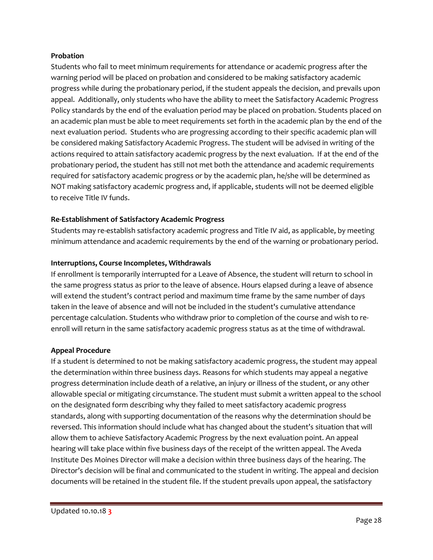#### **Probation**

Students who fail to meet minimum requirements for attendance or academic progress after the warning period will be placed on probation and considered to be making satisfactory academic progress while during the probationary period, if the student appeals the decision, and prevails upon appeal. Additionally, only students who have the ability to meet the Satisfactory Academic Progress Policy standards by the end of the evaluation period may be placed on probation. Students placed on an academic plan must be able to meet requirements set forth in the academic plan by the end of the next evaluation period. Students who are progressing according to their specific academic plan will be considered making Satisfactory Academic Progress. The student will be advised in writing of the actions required to attain satisfactory academic progress by the next evaluation. If at the end of the probationary period, the student has still not met both the attendance and academic requirements required for satisfactory academic progress or by the academic plan, he/she will be determined as NOT making satisfactory academic progress and, if applicable, students will not be deemed eligible to receive Title IV funds.

# **Re-Establishment of Satisfactory Academic Progress**

Students may re-establish satisfactory academic progress and Title IV aid, as applicable, by meeting minimum attendance and academic requirements by the end of the warning or probationary period.

# **Interruptions, Course Incompletes, Withdrawals**

If enrollment is temporarily interrupted for a Leave of Absence, the student will return to school in the same progress status as prior to the leave of absence. Hours elapsed during a leave of absence will extend the student's contract period and maximum time frame by the same number of days taken in the leave of absence and will not be included in the student's cumulative attendance percentage calculation. Students who withdraw prior to completion of the course and wish to reenroll will return in the same satisfactory academic progress status as at the time of withdrawal.

# **Appeal Procedure**

If a student is determined to not be making satisfactory academic progress, the student may appeal the determination within three business days. Reasons for which students may appeal a negative progress determination include death of a relative, an injury or illness of the student, or any other allowable special or mitigating circumstance. The student must submit a written appeal to the school on the designated form describing why they failed to meet satisfactory academic progress standards, along with supporting documentation of the reasons why the determination should be reversed. This information should include what has changed about the student's situation that will allow them to achieve Satisfactory Academic Progress by the next evaluation point. An appeal hearing will take place within five business days of the receipt of the written appeal. The Aveda Institute Des Moines Director will make a decision within three business days of the hearing. The Director's decision will be final and communicated to the student in writing. The appeal and decision documents will be retained in the student file. If the student prevails upon appeal, the satisfactory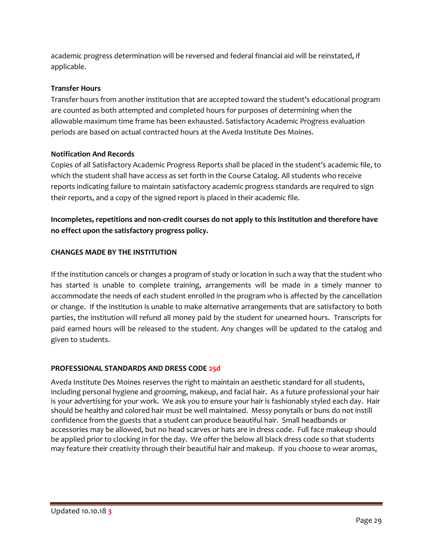academic progress determination will be reversed and federal financial aid will be reinstated, if applicable.

# **Transfer Hours**

Transfer hours from another institution that are accepted toward the student's educational program are counted as both attempted and completed hours for purposes of determining when the allowable maximum time frame has been exhausted. Satisfactory Academic Progress evaluation periods are based on actual contracted hours at the Aveda Institute Des Moines.

# **Notification And Records**

Copies of all Satisfactory Academic Progress Reports shall be placed in the student's academic file, to which the student shall have access as set forth in the Course Catalog. All students who receive reports indicating failure to maintain satisfactory academic progress standards are required to sign their reports, and a copy of the signed report is placed in their academic file.

**Incompletes, repetitions and non-credit courses do not apply to this institution and therefore have no effect upon the satisfactory progress policy.**

# **CHANGES MADE BY THE INSTITUTION**

If the institution cancels or changes a program of study or location in such a way that the student who has started is unable to complete training, arrangements will be made in a timely manner to accommodate the needs of each student enrolled in the program who is affected by the cancellation or change. If the institution is unable to make alternative arrangements that are satisfactory to both parties, the institution will refund all money paid by the student for unearned hours. Transcripts for paid earned hours will be released to the student. Any changes will be updated to the catalog and given to students.

# **PROFESSIONAL STANDARDS AND DRESS CODE 25d**

Aveda Institute Des Moines reserves the right to maintain an aesthetic standard for all students, including personal hygiene and grooming, makeup, and facial hair. As a future professional your hair is your advertising for your work. We ask you to ensure your hair is fashionably styled each day. Hair should be healthy and colored hair must be well maintained. Messy ponytails or buns do not instill confidence from the guests that a student can produce beautiful hair. Small headbands or accessories may be allowed, but no head scarves or hats are in dress code. Full face makeup should be applied prior to clocking in for the day. We offer the below all black dress code so that students may feature their creativity through their beautiful hair and makeup. If you choose to wear aromas,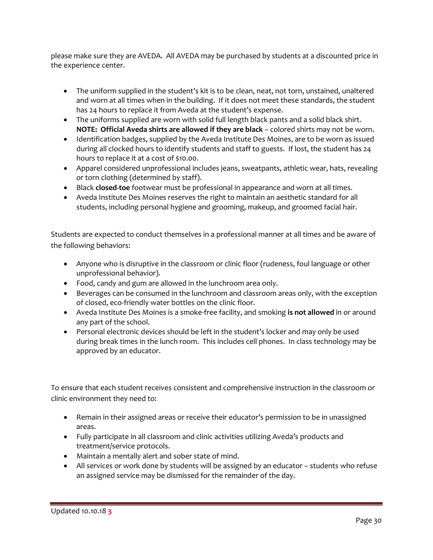please make sure they are AVEDA. All AVEDA may be purchased by students at a discounted price in the experience center.

- The uniform supplied in the student's kit is to be clean, neat, not torn, unstained, unaltered and worn at all times when in the building. If it does not meet these standards, the student has 24 hours to replace it from Aveda at the student's expense.
- The uniforms supplied are worn with solid full length black pants and a solid black shirt. **NOTE: Official Aveda shirts are allowed if they are black** – colored shirts may not be worn.
- Identification badges, supplied by the Aveda Institute Des Moines, are to be worn as issued during all clocked hours to identify students and staff to guests. If lost, the student has 24 hours to replace it at a cost of \$10.00.
- Apparel considered unprofessional includes jeans, sweatpants, athletic wear, hats, revealing or torn clothing (determined by staff).
- Black **closed-toe** footwear must be professional in appearance and worn at all times.
- Aveda Institute Des Moines reserves the right to maintain an aesthetic standard for all students, including personal hygiene and grooming, makeup, and groomed facial hair.

Students are expected to conduct themselves in a professional manner at all times and be aware of the following behaviors:

- Anyone who is disruptive in the classroom or clinic floor (rudeness, foul language or other unprofessional behavior).
- Food, candy and gum are allowed in the lunchroom area only.
- Beverages can be consumed in the lunchroom and classroom areas only, with the exception of closed, eco-friendly water bottles on the clinic floor.
- Aveda Institute Des Moines is a smoke-free facility, and smoking **is not allowed** in or around any part of the school.
- Personal electronic devices should be left in the student's locker and may only be used during break times in the lunch room. This includes cell phones. In class technology may be approved by an educator.

To ensure that each student receives consistent and comprehensive instruction in the classroom or clinic environment they need to:

- Remain in their assigned areas or receive their educator's permission to be in unassigned areas.
- Fully participate in all classroom and clinic activities utilizing Aveda's products and treatment/service protocols.
- Maintain a mentally alert and sober state of mind.
- All services or work done by students will be assigned by an educator students who refuse an assigned service may be dismissed for the remainder of the day.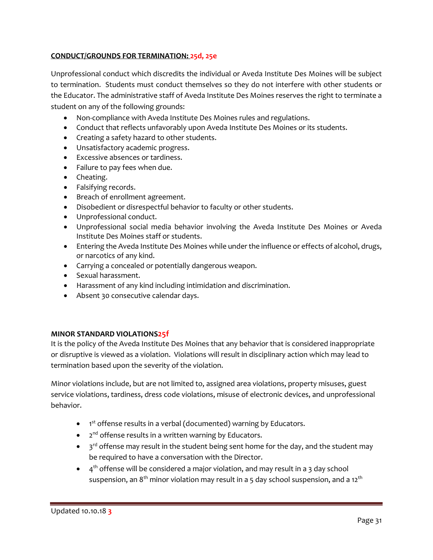# **CONDUCT/GROUNDS FOR TERMINATION: 25d, 25e**

Unprofessional conduct which discredits the individual or Aveda Institute Des Moines will be subject to termination. Students must conduct themselves so they do not interfere with other students or the Educator. The administrative staff of Aveda Institute Des Moines reserves the right to terminate a student on any of the following grounds:

- Non-compliance with Aveda Institute Des Moines rules and regulations.
- Conduct that reflects unfavorably upon Aveda Institute Des Moines or its students.
- Creating a safety hazard to other students.
- Unsatisfactory academic progress.
- Excessive absences or tardiness.
- Failure to pay fees when due.
- Cheating.
- Falsifying records.
- Breach of enrollment agreement.
- Disobedient or disrespectful behavior to faculty or other students.
- Unprofessional conduct.
- Unprofessional social media behavior involving the Aveda Institute Des Moines or Aveda Institute Des Moines staff or students.
- Entering the Aveda Institute Des Moines while under the influence or effects of alcohol, drugs, or narcotics of any kind.
- Carrying a concealed or potentially dangerous weapon.
- Sexual harassment.
- Harassment of any kind including intimidation and discrimination.
- Absent 30 consecutive calendar days.

# **MINOR STANDARD VIOLATIONS25f**

It is the policy of the Aveda Institute Des Moines that any behavior that is considered inappropriate or disruptive is viewed as a violation. Violations will result in disciplinary action which may lead to termination based upon the severity of the violation.

Minor violations include, but are not limited to, assigned area violations, property misuses, guest service violations, tardiness, dress code violations, misuse of electronic devices, and unprofessional behavior.

- 1<sup>st</sup> offense results in a verbal (documented) warning by Educators.
- 2<sup>nd</sup> offense results in a written warning by Educators.
- $\bullet$  3<sup>rd</sup> offense may result in the student being sent home for the day, and the student may be required to have a conversation with the Director.
- $\bullet$  4<sup>th</sup> offense will be considered a major violation, and may result in a 3 day school suspension, an  $8<sup>th</sup>$  minor violation may result in a 5 day school suspension, and a 12<sup>th</sup>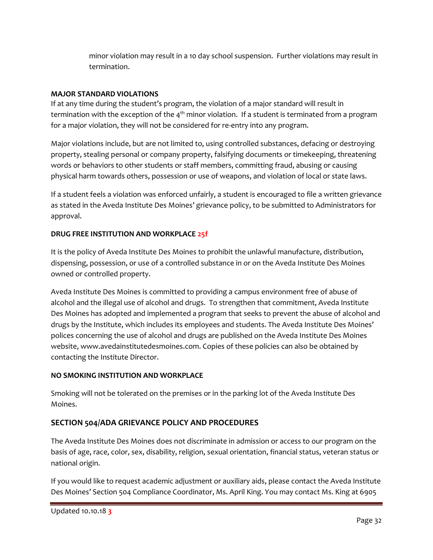minor violation may result in a 10 day school suspension. Further violations may result in termination.

# **MAJOR STANDARD VIOLATIONS**

If at any time during the student's program, the violation of a major standard will result in termination with the exception of the  $4<sup>th</sup>$  minor violation. If a student is terminated from a program for a major violation, they will not be considered for re-entry into any program.

Major violations include, but are not limited to, using controlled substances, defacing or destroying property, stealing personal or company property, falsifying documents or timekeeping, threatening words or behaviors to other students or staff members, committing fraud, abusing or causing physical harm towards others, possession or use of weapons, and violation of local or state laws.

If a student feels a violation was enforced unfairly, a student is encouraged to file a written grievance as stated in the Aveda Institute Des Moines' grievance policy, to be submitted to Administrators for approval.

# **DRUG FREE INSTITUTION AND WORKPLACE 25f**

It is the policy of Aveda Institute Des Moines to prohibit the unlawful manufacture, distribution, dispensing, possession, or use of a controlled substance in or on the Aveda Institute Des Moines owned or controlled property.

Aveda Institute Des Moines is committed to providing a campus environment free of abuse of alcohol and the illegal use of alcohol and drugs. To strengthen that commitment, Aveda Institute Des Moines has adopted and implemented a program that seeks to prevent the abuse of alcohol and drugs by the Institute, which includes its employees and students. The Aveda Institute Des Moines' polices concerning the use of alcohol and drugs are published on the Aveda Institute Des Moines website, www.avedainstitutedesmoines.com. Copies of these policies can also be obtained by contacting the Institute Director.

# **NO SMOKING INSTITUTION AND WORKPLACE**

Smoking will not be tolerated on the premises or in the parking lot of the Aveda Institute Des Moines.

# **SECTION 504/ADA GRIEVANCE POLICY AND PROCEDURES**

The Aveda Institute Des Moines does not discriminate in admission or access to our program on the basis of age, race, color, sex, disability, religion, sexual orientation, financial status, veteran status or national origin.

If you would like to request academic adjustment or auxiliary aids, please contact the Aveda Institute Des Moines' Section 504 Compliance Coordinator, Ms. April King. You may contact Ms. King at 6905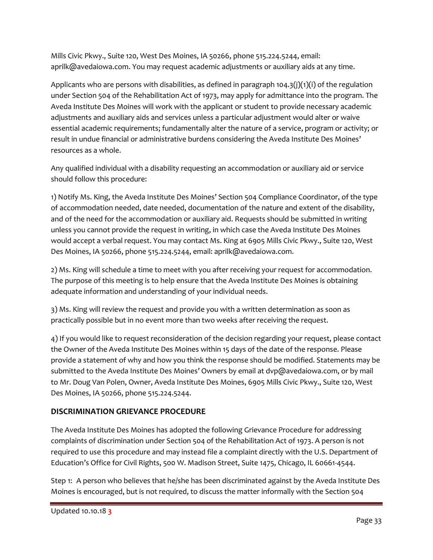Mills Civic Pkwy., Suite 120, West Des Moines, IA 50266, phone 515.224.5244, email: aprilk@avedaiowa.com. You may request academic adjustments or auxiliary aids at any time.

Applicants who are persons with disabilities, as defined in paragraph 104.3(j)(1)(i) of the regulation under Section 504 of the Rehabilitation Act of 1973, may apply for admittance into the program. The Aveda Institute Des Moines will work with the applicant or student to provide necessary academic adjustments and auxiliary aids and services unless a particular adjustment would alter or waive essential academic requirements; fundamentally alter the nature of a service, program or activity; or result in undue financial or administrative burdens considering the Aveda Institute Des Moines' resources as a whole.

Any qualified individual with a disability requesting an accommodation or auxiliary aid or service should follow this procedure:

1) Notify Ms. King, the Aveda Institute Des Moines' Section 504 Compliance Coordinator, of the type of accommodation needed, date needed, documentation of the nature and extent of the disability, and of the need for the accommodation or auxiliary aid. Requests should be submitted in writing unless you cannot provide the request in writing, in which case the Aveda Institute Des Moines would accept a verbal request. You may contact Ms. King at 6905 Mills Civic Pkwy., Suite 120, West Des Moines, IA 50266, phone 515.224.5244, email: aprilk@avedaiowa.com.

2) Ms. King will schedule a time to meet with you after receiving your request for accommodation. The purpose of this meeting is to help ensure that the Aveda Institute Des Moines is obtaining adequate information and understanding of your individual needs.

3) Ms. King will review the request and provide you with a written determination as soon as practically possible but in no event more than two weeks after receiving the request.

4) If you would like to request reconsideration of the decision regarding your request, please contact the Owner of the Aveda Institute Des Moines within 15 days of the date of the response. Please provide a statement of why and how you think the response should be modified. Statements may be submitted to the Aveda Institute Des Moines' Owners by email at dvp@avedaiowa.com, or by mail to Mr. Doug Van Polen, Owner, Aveda Institute Des Moines, 6905 Mills Civic Pkwy., Suite 120, West Des Moines, IA 50266, phone 515.224.5244.

# **DISCRIMINATION GRIEVANCE PROCEDURE**

The Aveda Institute Des Moines has adopted the following Grievance Procedure for addressing complaints of discrimination under Section 504 of the Rehabilitation Act of 1973. A person is not required to use this procedure and may instead file a complaint directly with the U.S. Department of Education's Office for Civil Rights, 500 W. Madison Street, Suite 1475, Chicago, IL 60661-4544.

Step 1: A person who believes that he/she has been discriminated against by the Aveda Institute Des Moines is encouraged, but is not required, to discuss the matter informally with the Section 504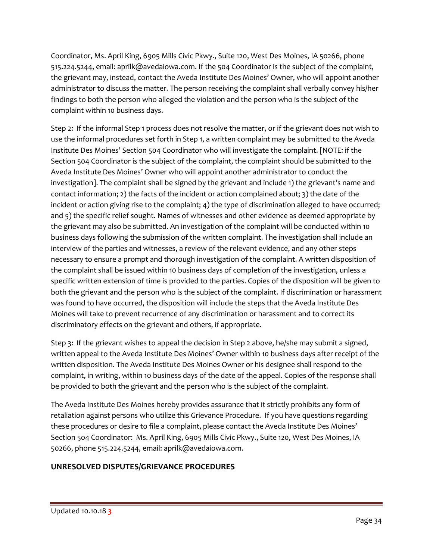Coordinator, Ms. April King, 6905 Mills Civic Pkwy., Suite 120, West Des Moines, IA 50266, phone 515.224.5244, email: aprilk@avedaiowa.com. If the 504 Coordinator is the subject of the complaint, the grievant may, instead, contact the Aveda Institute Des Moines' Owner, who will appoint another administrator to discuss the matter. The person receiving the complaint shall verbally convey his/her findings to both the person who alleged the violation and the person who is the subject of the complaint within 10 business days.

Step 2: If the informal Step 1 process does not resolve the matter, or if the grievant does not wish to use the informal procedures set forth in Step 1, a written complaint may be submitted to the Aveda Institute Des Moines' Section 504 Coordinator who will investigate the complaint. [NOTE: if the Section 504 Coordinator is the subject of the complaint, the complaint should be submitted to the Aveda Institute Des Moines' Owner who will appoint another administrator to conduct the investigation]. The complaint shall be signed by the grievant and include 1) the grievant's name and contact information; 2) the facts of the incident or action complained about; 3) the date of the incident or action giving rise to the complaint; 4) the type of discrimination alleged to have occurred; and 5) the specific relief sought. Names of witnesses and other evidence as deemed appropriate by the grievant may also be submitted. An investigation of the complaint will be conducted within 10 business days following the submission of the written complaint. The investigation shall include an interview of the parties and witnesses, a review of the relevant evidence, and any other steps necessary to ensure a prompt and thorough investigation of the complaint. A written disposition of the complaint shall be issued within 10 business days of completion of the investigation, unless a specific written extension of time is provided to the parties. Copies of the disposition will be given to both the grievant and the person who is the subject of the complaint. If discrimination or harassment was found to have occurred, the disposition will include the steps that the Aveda Institute Des Moines will take to prevent recurrence of any discrimination or harassment and to correct its discriminatory effects on the grievant and others, if appropriate.

Step 3: If the grievant wishes to appeal the decision in Step 2 above, he/she may submit a signed, written appeal to the Aveda Institute Des Moines' Owner within 10 business days after receipt of the written disposition. The Aveda Institute Des Moines Owner or his designee shall respond to the complaint, in writing, within 10 business days of the date of the appeal. Copies of the response shall be provided to both the grievant and the person who is the subject of the complaint.

The Aveda Institute Des Moines hereby provides assurance that it strictly prohibits any form of retaliation against persons who utilize this Grievance Procedure. If you have questions regarding these procedures or desire to file a complaint, please contact the Aveda Institute Des Moines' Section 504 Coordinator: Ms. April King, 6905 Mills Civic Pkwy., Suite 120, West Des Moines, IA 50266, phone 515.224.5244, email: aprilk@avedaiowa.com.

# **UNRESOLVED DISPUTES/GRIEVANCE PROCEDURES**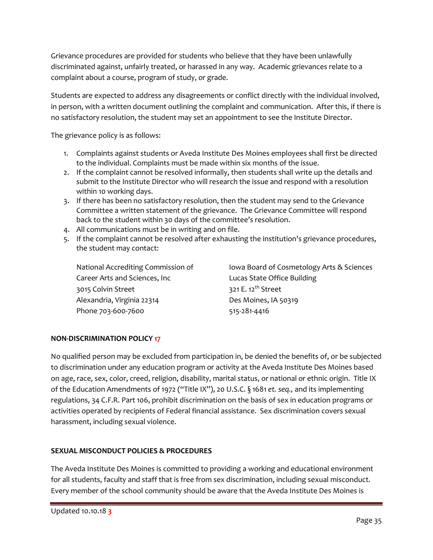Grievance procedures are provided for students who believe that they have been unlawfully discriminated against, unfairly treated, or harassed in any way. Academic grievances relate to a complaint about a course, program of study, or grade.

Students are expected to address any disagreements or conflict directly with the individual involved, in person, with a written document outlining the complaint and communication. After this, if there is no satisfactory resolution, the student may set an appointment to see the Institute Director.

The grievance policy is as follows:

- 1. Complaints against students or Aveda Institute Des Moines employees shall first be directed to the individual. Complaints must be made within six months of the issue.
- 2. If the complaint cannot be resolved informally, then students shall write up the details and submit to the Institute Director who will research the issue and respond with a resolution within 10 working days.
- 3. If there has been no satisfactory resolution, then the student may send to the Grievance Committee a written statement of the grievance. The Grievance Committee will respond back to the student within 30 days of the committee's resolution.
- 4. All communications must be in writing and on file.
- 5. If the complaint cannot be resolved after exhausting the institution's grievance procedures, the student may contact:

Career Arts and Sciences, Inc Lucas State Office Building 3015 Colvin Street 321 E. 12<sup>th</sup> Street Alexandria, Virginia 22314 Des Moines, IA 50319 Phone 703-600-7600 515-281-4416

National Accrediting Commission of Iowa Board of Cosmetology Arts & Sciences

# **NON-DISCRIMINATION POLICY 17**

No qualified person may be excluded from participation in, be denied the benefits of, or be subjected to discrimination under any education program or activity at the Aveda Institute Des Moines based on age, race, sex, color, creed, religion, disability, marital status, or national or ethnic origin. Title IX of the Education Amendments of 1972 ("Title IX"), 20 U.S.C. § 1681 *et. seq.,* and its implementing regulations, 34 C.F.R. Part 106, prohibit discrimination on the basis of sex in education programs or activities operated by recipients of Federal financial assistance. Sex discrimination covers sexual harassment, including sexual violence.

# **SEXUAL MISCONDUCT POLICIES & PROCEDURES**

The Aveda Institute Des Moines is committed to providing a working and educational environment for all students, faculty and staff that is free from sex discrimination, including sexual misconduct. Every member of the school community should be aware that the Aveda Institute Des Moines is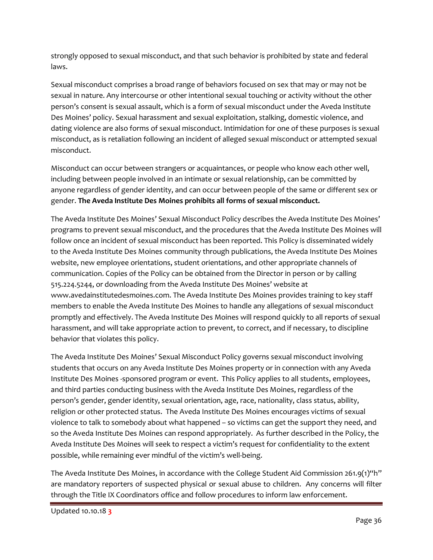strongly opposed to sexual misconduct, and that such behavior is prohibited by state and federal laws.

Sexual misconduct comprises a broad range of behaviors focused on sex that may or may not be sexual in nature. Any intercourse or other intentional sexual touching or activity without the other person's consent is sexual assault, which is a form of sexual misconduct under the Aveda Institute Des Moines' policy. Sexual harassment and sexual exploitation, stalking, domestic violence, and dating violence are also forms of sexual misconduct. Intimidation for one of these purposes is sexual misconduct, as is retaliation following an incident of alleged sexual misconduct or attempted sexual misconduct.

Misconduct can occur between strangers or acquaintances, or people who know each other well, including between people involved in an intimate or sexual relationship, can be committed by anyone regardless of gender identity, and can occur between people of the same or different sex or gender. **The Aveda Institute Des Moines prohibits all forms of sexual misconduct.**

The Aveda Institute Des Moines' Sexual Misconduct Policy describes the Aveda Institute Des Moines' programs to prevent sexual misconduct, and the procedures that the Aveda Institute Des Moines will follow once an incident of sexual misconduct has been reported. This Policy is disseminated widely to the Aveda Institute Des Moines community through publications, the Aveda Institute Des Moines website, new employee orientations, student orientations, and other appropriate channels of communication. Copies of the Policy can be obtained from the Director in person or by calling 515.224.5244, or downloading from the Aveda Institute Des Moines' website at www.avedainstitutedesmoines.com. The Aveda Institute Des Moines provides training to key staff members to enable the Aveda Institute Des Moines to handle any allegations of sexual misconduct promptly and effectively. The Aveda Institute Des Moines will respond quickly to all reports of sexual harassment, and will take appropriate action to prevent, to correct, and if necessary, to discipline behavior that violates this policy.

The Aveda Institute Des Moines' Sexual Misconduct Policy governs sexual misconduct involving students that occurs on any Aveda Institute Des Moines property or in connection with any Aveda Institute Des Moines -sponsored program or event. This Policy applies to all students, employees, and third parties conducting business with the Aveda Institute Des Moines, regardless of the person's gender, gender identity, sexual orientation, age, race, nationality, class status, ability, religion or other protected status. The Aveda Institute Des Moines encourages victims of sexual violence to talk to somebody about what happened – so victims can get the support they need, and so the Aveda Institute Des Moines can respond appropriately. As further described in the Policy, the Aveda Institute Des Moines will seek to respect a victim's request for confidentiality to the extent possible, while remaining ever mindful of the victim's well-being.

The Aveda Institute Des Moines, in accordance with the College Student Aid Commission 261.9(1)"h" are mandatory reporters of suspected physical or sexual abuse to children. Any concerns will filter through the Title IX Coordinators office and follow procedures to inform law enforcement.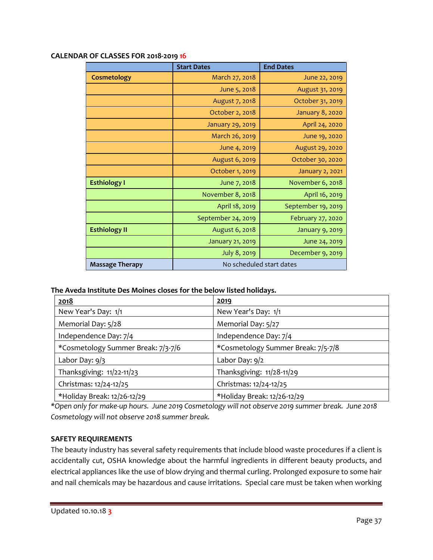|                        | <b>Start Dates</b>       | <b>End Dates</b>       |  |
|------------------------|--------------------------|------------------------|--|
| Cosmetology            | March 27, 2018           | June 22, 2019          |  |
|                        | June 5, 2018             | August 31, 2019        |  |
|                        | August 7, 2018           | October 31, 2019       |  |
|                        | October 2, 2018          | <b>January 8, 2020</b> |  |
|                        | January 29, 2019         | April 24, 2020         |  |
|                        | March 26, 2019           | June 19, 2020          |  |
|                        | June 4, 2019             | August 29, 2020        |  |
|                        | August 6, 2019           | October 30, 2020       |  |
|                        | October 1, 2019          | January 2, 2021        |  |
| <b>Esthiology I</b>    | June 7, 2018             | November 6, 2018       |  |
|                        | November 8, 2018         | April 16, 2019         |  |
|                        | April 18, 2019           | September 19, 2019     |  |
|                        | September 24, 2019       | February 27, 2020      |  |
| <b>Esthiology II</b>   | August 6, 2018           | January 9, 2019        |  |
|                        | <b>January 21, 2019</b>  | June 24, 2019          |  |
|                        | July 8, 2019             | December 9, 2019       |  |
| <b>Massage Therapy</b> | No scheduled start dates |                        |  |

#### **CALENDAR OF CLASSES FOR 2018-2019 16**

#### **The Aveda Institute Des Moines closes for the below listed holidays.**

| 2018                               | 2019                               |
|------------------------------------|------------------------------------|
| New Year's Day: 1/1                | New Year's Day: 1/1                |
| Memorial Day: 5/28                 | Memorial Day: 5/27                 |
| Independence Day: 7/4              | Independence Day: 7/4              |
| *Cosmetology Summer Break: 7/3-7/6 | *Cosmetology Summer Break: 7/5-7/8 |
| Labor Day: $9/3$                   | Labor Day: 9/2                     |
| Thanksgiving: 11/22-11/23          | Thanksgiving: 11/28-11/29          |
| Christmas: 12/24-12/25             | Christmas: 12/24-12/25             |
| *Holiday Break: 12/26-12/29        | *Holiday Break: 12/26-12/29        |

*\*Open only for make-up hours. June 2019 Cosmetology will not observe 2019 summer break. June 2018 Cosmetology will not observe 2018 summer break.*

# **SAFETY REQUIREMENTS**

The beauty industry has several safety requirements that include blood waste procedures if a client is accidentally cut, OSHA knowledge about the harmful ingredients in different beauty products, and electrical appliances like the use of blow drying and thermal curling. Prolonged exposure to some hair and nail chemicals may be hazardous and cause irritations. Special care must be taken when working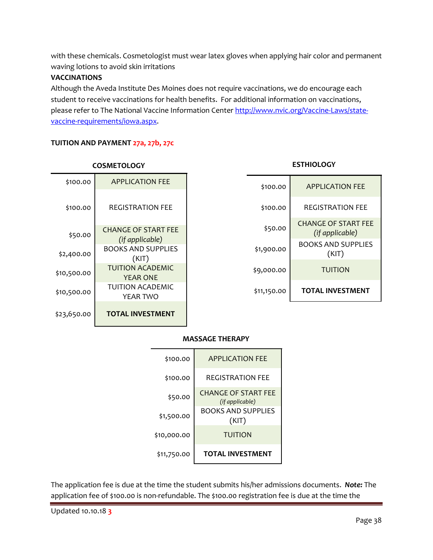with these chemicals. Cosmetologist must wear latex gloves when applying hair color and permanent waving lotions to avoid skin irritations

# **VACCINATIONS**

Although the Aveda Institute Des Moines does not require vaccinations, we do encourage each student to receive vaccinations for health benefits. For additional information on vaccinations, please refer to The National Vaccine Information Cente[r http://www.nvic.org/Vaccine-Laws/state](http://www.nvic.org/Vaccine-Laws/state-vaccine-requirements/iowa.aspx)[vaccine-requirements/iowa.aspx.](http://www.nvic.org/Vaccine-Laws/state-vaccine-requirements/iowa.aspx)

# **TUITION AND PAYMENT 27a, 27b, 27c**

| \$100.00    | <b>APPLICATION FEE</b>                        |
|-------------|-----------------------------------------------|
| \$100.00    | REGISTRATION FEE                              |
| \$50.00     | <b>CHANGE OF START FEE</b><br>(if applicable) |
| \$2,400.00  | BOOKS AND SUPPLIES<br>(KIT)                   |
| \$10,500.00 | TUITION ACADEMIC<br><b>YEAR ONE</b>           |
| \$10,500.00 | TUITION ACADEMIC<br>YFAR TWO                  |
| \$23,650.00 | <b>TOTAL INVESTMENT</b>                       |

# **COSMETOLOGY**

# \$100.00 APPLICATION FEE \$100.00 REGISTRATION FEE \$50.00 CHANGE OF START FEE *(if applicable)* \$1,900.00 BOOKS AND SUPPLIES (KIT) \$9,000.00 TUITION \$11,150.00 **TOTAL INVESTMENT**

**ESTHIOLOGY**

# **MASSAGE THERAPY**



The application fee is due at the time the student submits his/her admissions documents. *Note:* The application fee of \$100.00 is non-refundable. The \$100.00 registration fee is due at the time the

Updated 10.10.18 **3**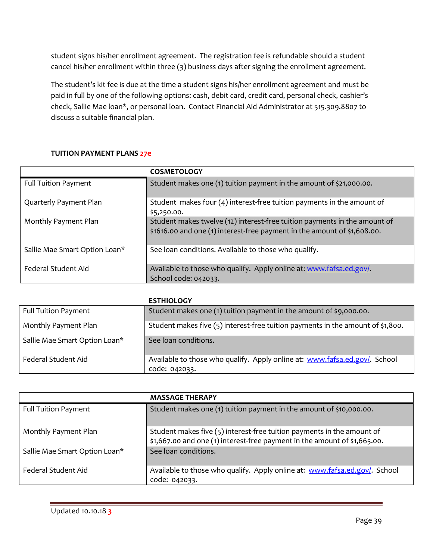student signs his/her enrollment agreement. The registration fee is refundable should a student cancel his/her enrollment within three (3) business days after signing the enrollment agreement.

The student's kit fee is due at the time a student signs his/her enrollment agreement and must be paid in full by one of the following options: cash, debit card, credit card, personal check, cashier's check, Sallie Mae loan\*, or personal loan. Contact Financial Aid Administrator at 515.309.8807 to discuss a suitable financial plan.

# **TUITION PAYMENT PLANS 27e**

|                               | <b>COSMETOLOGY</b>                                                                                                                                    |
|-------------------------------|-------------------------------------------------------------------------------------------------------------------------------------------------------|
| <b>Full Tuition Payment</b>   | Student makes one (1) tuition payment in the amount of \$21,000.00.                                                                                   |
| Quarterly Payment Plan        | Student makes four $(4)$ interest-free tuition payments in the amount of<br>\$5,250.00.                                                               |
| Monthly Payment Plan          | Student makes twelve (12) interest-free tuition payments in the amount of<br>\$1616.00 and one (1) interest-free payment in the amount of \$1,608.00. |
| Sallie Mae Smart Option Loan* | See Ioan conditions. Available to those who qualify.                                                                                                  |
| Federal Student Aid           | Available to those who qualify. Apply online at: www.fafsa.ed.gov/<br>School code: 042033.                                                            |

# **ESTHIOLOGY**

|                               | ESINIVLUUT                                                                                  |
|-------------------------------|---------------------------------------------------------------------------------------------|
| <b>Full Tuition Payment</b>   | Student makes one (1) tuition payment in the amount of \$9,000.00.                          |
| Monthly Payment Plan          | Student makes five (5) interest-free tuition payments in the amount of \$1,800.             |
| Sallie Mae Smart Option Loan* | See loan conditions.                                                                        |
| Federal Student Aid           | Available to those who qualify. Apply online at: www.fafsa.ed.gov/. School<br>code: 042033. |

|                               | <b>MASSAGE THERAPY</b>                                                                                                                              |
|-------------------------------|-----------------------------------------------------------------------------------------------------------------------------------------------------|
| <b>Full Tuition Payment</b>   | Student makes one (1) tuition payment in the amount of \$10,000.00.                                                                                 |
| Monthly Payment Plan          | Student makes five (5) interest-free tuition payments in the amount of<br>\$1,667.00 and one (1) interest-free payment in the amount of \$1,665.00. |
| Sallie Mae Smart Option Loan* | See loan conditions.                                                                                                                                |
| Federal Student Aid           | Available to those who qualify. Apply online at: www.fafsa.ed.gov/. School<br>code: 042033.                                                         |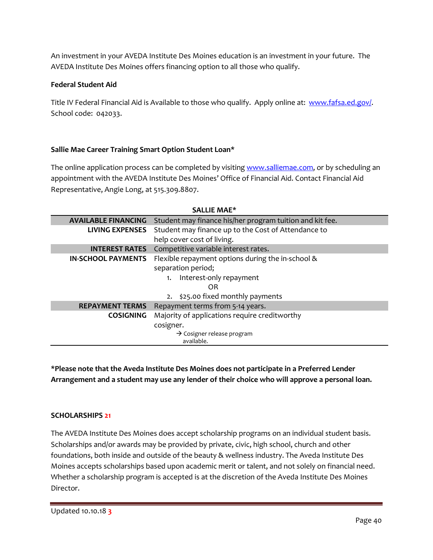An investment in your AVEDA Institute Des Moines education is an investment in your future. The AVEDA Institute Des Moines offers financing option to all those who qualify.

# **Federal Student Aid**

Title IV Federal Financial Aid is Available to those who qualify. Apply online at: [www.fafsa.ed.gov/.](http://www.fafsa.ed.gov/) School code: 042033.

# **Sallie Mae Career Training Smart Option Student Loan\***

The online application process can be completed by visiting [www.salliemae.com,](http://www.salliemae.com/) or by scheduling an appointment with the AVEDA Institute Des Moines' Office of Financial Aid. Contact Financial Aid Representative, Angie Long, at 515.309.8807.

| SALLIE MAE*                |                                                          |  |
|----------------------------|----------------------------------------------------------|--|
| <b>AVAILABLE FINANCING</b> | Student may finance his/her program tuition and kit fee. |  |
| LIVING EXPENSES            | Student may finance up to the Cost of Attendance to      |  |
|                            | help cover cost of living.                               |  |
| <b>INTEREST RATES</b>      | Competitive variable interest rates.                     |  |
| <b>IN-SCHOOL PAYMENTS</b>  | Flexible repayment options during the in-school &        |  |
|                            | separation period;                                       |  |
|                            | Interest-only repayment<br>1.                            |  |
|                            | OR                                                       |  |
|                            | 2. \$25.00 fixed monthly payments                        |  |
| <b>REPAYMENT TERMS</b>     | Repayment terms from 5-14 years.                         |  |
| <b>COSIGNING</b>           | Majority of applications require creditworthy            |  |
|                            | cosigner.                                                |  |
|                            | $\rightarrow$ Cosigner release program                   |  |
|                            | available.                                               |  |

# **\*Please note that the Aveda Institute Des Moines does not participate in a Preferred Lender Arrangement and a student may use any lender of their choice who will approve a personal loan.**

# **SCHOLARSHIPS 21**

The AVEDA Institute Des Moines does accept scholarship programs on an individual student basis. Scholarships and/or awards may be provided by private, civic, high school, church and other foundations, both inside and outside of the beauty & wellness industry. The Aveda Institute Des Moines accepts scholarships based upon academic merit or talent, and not solely on financial need. Whether a scholarship program is accepted is at the discretion of the Aveda Institute Des Moines Director.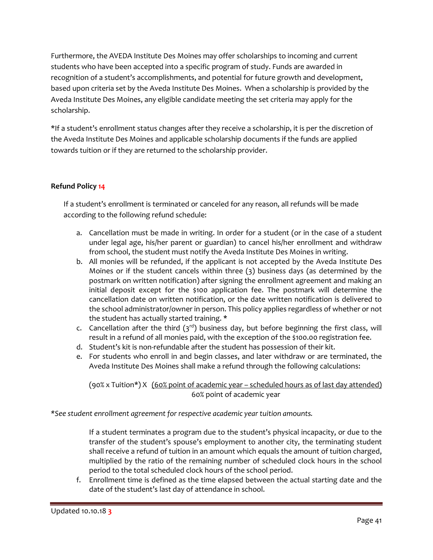Furthermore, the AVEDA Institute Des Moines may offer scholarships to incoming and current students who have been accepted into a specific program of study. Funds are awarded in recognition of a student's accomplishments, and potential for future growth and development, based upon criteria set by the Aveda Institute Des Moines. When a scholarship is provided by the Aveda Institute Des Moines, any eligible candidate meeting the set criteria may apply for the scholarship.

\*If a student's enrollment status changes after they receive a scholarship, it is per the discretion of the Aveda Institute Des Moines and applicable scholarship documents if the funds are applied towards tuition or if they are returned to the scholarship provider.

# **Refund Policy 14**

If a student's enrollment is terminated or canceled for any reason, all refunds will be made according to the following refund schedule:

- a. Cancellation must be made in writing. In order for a student (or in the case of a student under legal age, his/her parent or guardian) to cancel his/her enrollment and withdraw from school, the student must notify the Aveda Institute Des Moines in writing.
- b. All monies will be refunded, if the applicant is not accepted by the Aveda Institute Des Moines or if the student cancels within three (3) business days (as determined by the postmark on written notification) after signing the enrollment agreement and making an initial deposit except for the \$100 application fee. The postmark will determine the cancellation date on written notification, or the date written notification is delivered to the school administrator/owner in person. This policy applies regardless of whether or not the student has actually started training. **\***
- c. Cancellation after the third  $(3<sup>rd</sup>)$  business day, but before beginning the first class, will result in a refund of all monies paid, with the exception of the \$100.00 registration fee.
- d. Student's kit is non-refundable after the student has possession of their kit.
- e. For students who enroll in and begin classes, and later withdraw or are terminated, the Aveda Institute Des Moines shall make a refund through the following calculations:

# (90% x Tuition\*) X (60% point of academic year – scheduled hours as of last day attended) 60% point of academic year

*\*See student enrollment agreement for respective academic year tuition amounts.*

If a student terminates a program due to the student's physical incapacity, or due to the transfer of the student's spouse's employment to another city, the terminating student shall receive a refund of tuition in an amount which equals the amount of tuition charged, multiplied by the ratio of the remaining number of scheduled clock hours in the school period to the total scheduled clock hours of the school period.

f. Enrollment time is defined as the time elapsed between the actual starting date and the date of the student's last day of attendance in school.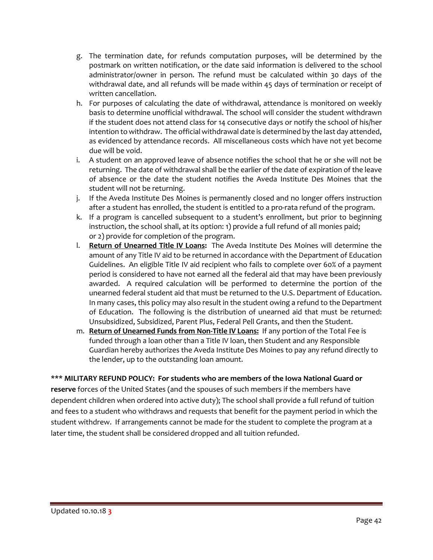- g. The termination date, for refunds computation purposes, will be determined by the postmark on written notification, or the date said information is delivered to the school administrator/owner in person. The refund must be calculated within 30 days of the withdrawal date, and all refunds will be made within 45 days of termination or receipt of written cancellation.
- h. For purposes of calculating the date of withdrawal, attendance is monitored on weekly basis to determine unofficial withdrawal. The school will consider the student withdrawn if the student does not attend class for 14 consecutive days or notify the school of his/her intention to withdraw. The official withdrawal date is determined by the last day attended, as evidenced by attendance records. All miscellaneous costs which have not yet become due will be void.
- i. A student on an approved leave of absence notifies the school that he or she will not be returning. The date of withdrawal shall be the earlier of the date of expiration of the leave of absence or the date the student notifies the Aveda Institute Des Moines that the student will not be returning.
- j. If the Aveda Institute Des Moines is permanently closed and no longer offers instruction after a student has enrolled, the student is entitled to a pro-rata refund of the program.
- k. If a program is cancelled subsequent to a student's enrollment, but prior to beginning instruction, the school shall, at its option: 1) provide a full refund of all monies paid; or 2) provide for completion of the program.
- l. **Return of Unearned Title IV Loans:** The Aveda Institute Des Moines will determine the amount of any Title IV aid to be returned in accordance with the Department of Education Guidelines. An eligible Title IV aid recipient who fails to complete over 60% of a payment period is considered to have not earned all the federal aid that may have been previously awarded. A required calculation will be performed to determine the portion of the unearned federal student aid that must be returned to the U.S. Department of Education. In many cases, this policy may also result in the student owing a refund to the Department of Education. The following is the distribution of unearned aid that must be returned: Unsubsidized, Subsidized, Parent Plus, Federal Pell Grants, and then the Student.
- m. **Return of Unearned Funds from Non-Title IV Loans:** If any portion of the Total Fee is funded through a loan other than a Title IV loan, then Student and any Responsible Guardian hereby authorizes the Aveda Institute Des Moines to pay any refund directly to the lender, up to the outstanding loan amount.

# **\*\*\* MILITARY REFUND POLICY: For students who are members of the Iowa National Guard or**

**reserve** forces of the United States (and the spouses of such members if the members have dependent children when ordered into active duty); The school shall provide a full refund of tuition and fees to a student who withdraws and requests that benefit for the payment period in which the student withdrew. If arrangements cannot be made for the student to complete the program at a later time, the student shall be considered dropped and all tuition refunded.